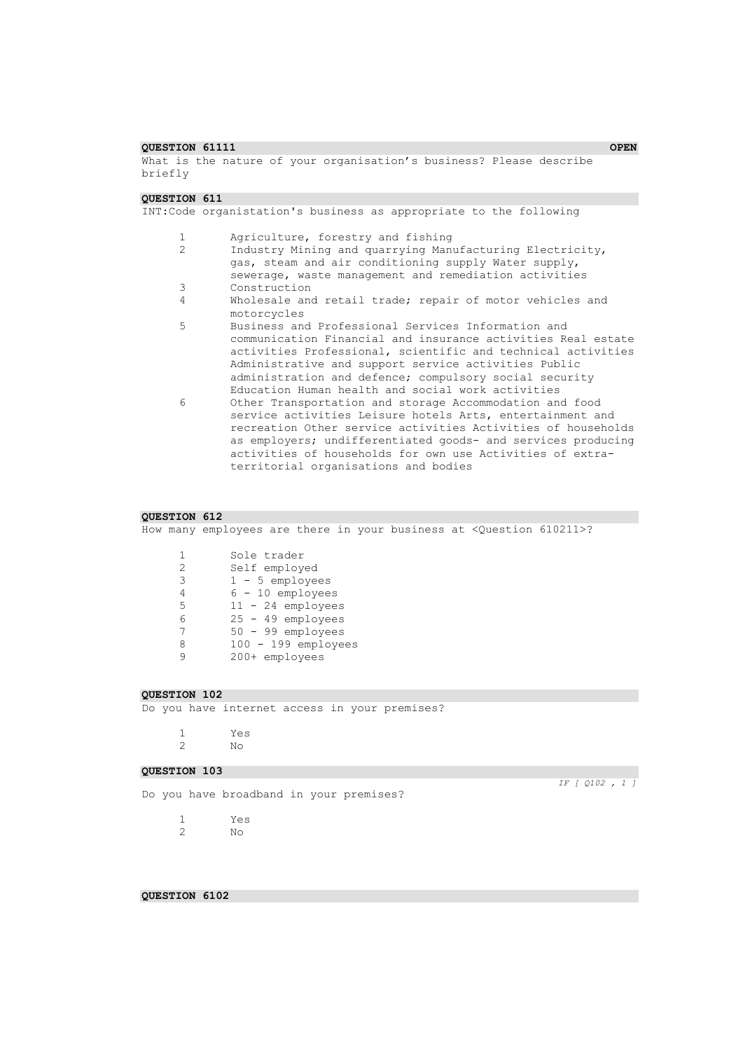#### **COURSTION 61111** OPEN **OPEN OPEN**

What is the nature of your organisation's business? Please describe briefly

#### **QUESTION 611**

INT:Code organistation's business as appropriate to the following

- 1 Agriculture, forestry and fishing<br>2 Industry Mining and quarrying Man
- Industry Mining and quarrying Manufacturing Electricity, gas, steam and air conditioning supply Water supply, sewerage, waste management and remediation activities
- 3 Construction
- 4 Wholesale and retail trade; repair of motor vehicles and motorcycles
- 5 Business and Professional Services Information and communication Financial and insurance activities Real estate activities Professional, scientific and technical activities Administrative and support service activities Public administration and defence; compulsory social security Education Human health and social work activities
- 6 Other Transportation and storage Accommodation and food service activities Leisure hotels Arts, entertainment and recreation Other service activities Activities of households as employers; undifferentiated goods- and services producing activities of households for own use Activities of extraterritorial organisations and bodies

#### **QUESTION 612**

How many employees are there in your business at <Question 610211>?

1 Sole trader<br>2 Self employ Self employed 1 - 5 employees 6 - 10 employees 11 - 24 employees 25 - 49 employees 50 - 99 employees 100 - 199 employees 200+ employees

## **QUESTION 102**

Do you have internet access in your premises?

1 Yes 2 No

#### **QUESTION 103**

Do you have broadband in your premises?

*IF [ Q102 , 1 ]* 

1 Yes  $N<sub>O</sub>$ 

**QUESTION 6102**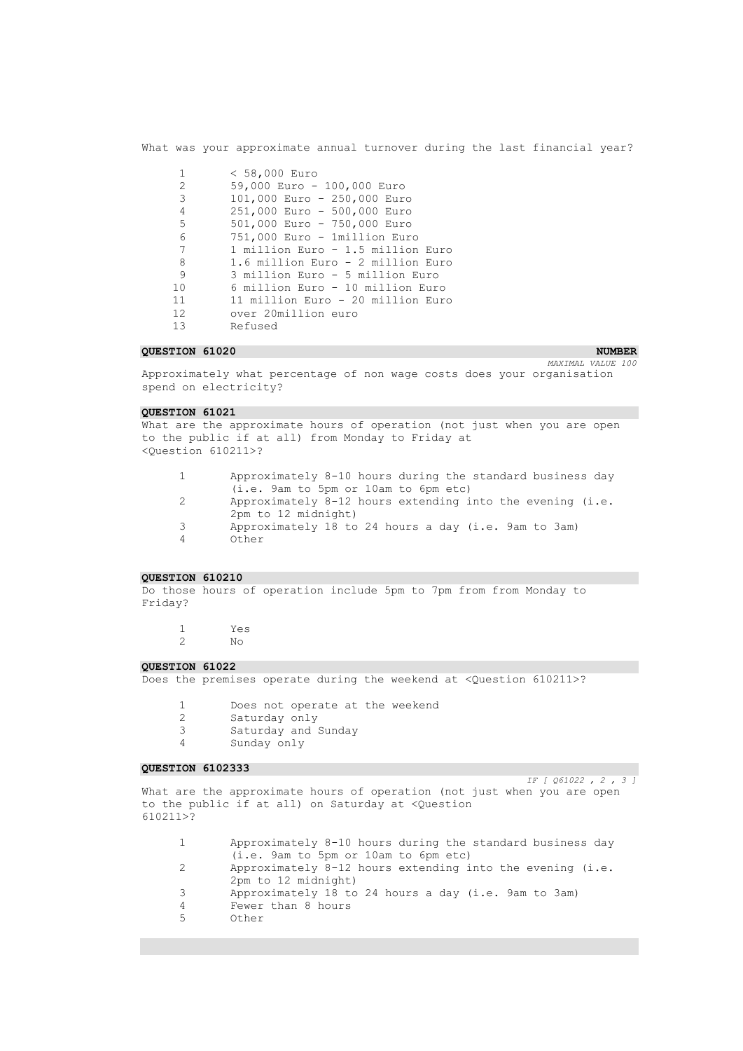What was your approximate annual turnover during the last financial year?

| $\mathbf{1}$    | $< 58,000$ Euro                   |
|-----------------|-----------------------------------|
| 2               | 59,000 Euro - 100,000 Euro        |
| 3               | 101,000 Euro - 250,000 Euro       |
| $\overline{4}$  | 251,000 Euro - 500,000 Euro       |
| 5               | 501,000 Euro - 750,000 Euro       |
| 6               | 751,000 Euro - 1million Euro      |
| 7               | 1 million Euro - 1.5 million Euro |
| 8               | 1.6 million Euro - 2 million Euro |
| 9               | 3 million Euro - 5 million Euro   |
| 10              | 6 million Euro - 10 million Euro  |
| 11              | 11 million Euro - 20 million Euro |
| 12 <sup>°</sup> | over 20million euro               |
| 13              | Refused                           |

### **COLLECTION 61020** NUMBER **NUMBER NUMBER NUMBER NUMBER NUMBER NUMBER**

*MAXIMAL VALUE 100* 

Approximately what percentage of non wage costs does your organisation spend on electricity?

#### **QUESTION 61021**

What are the approximate hours of operation (not just when you are open to the public if at all) from Monday to Friday at <Question 610211>?

- 1 Approximately 8-10 hours during the standard business day (i.e. 9am to 5pm or 10am to 6pm etc)
- 2 Approximately 8-12 hours extending into the evening (i.e. 2pm to 12 midnight)
- 3 Approximately 18 to 24 hours a day (i.e. 9am to 3am)
- 0ther

#### **QUESTION 610210**

Do those hours of operation include 5pm to 7pm from from Monday to Friday?

1 Yes 2 No

## **QUESTION 61022**

Does the premises operate during the weekend at <Question 610211>?

- 1 Does not operate at the weekend
- 2 Saturday only<br>3 Saturday and 3
- Saturday and Sunday
- 4 Sunday only

### **QUESTION 6102333**

*IF [ Q61022 , 2 , 3 ]*  What are the approximate hours of operation (not just when you are open to the public if at all) on Saturday at <Question 610211>?

- 1 Approximately 8-10 hours during the standard business day (i.e. 9am to 5pm or 10am to 6pm etc)
- 2 Approximately 8-12 hours extending into the evening (i.e.
	- 2pm to 12 midnight)
- 3 Approximately 18 to 24 hours a day (i.e. 9am to 3am)
- 4 Fewer than 8 hours
- 5 Other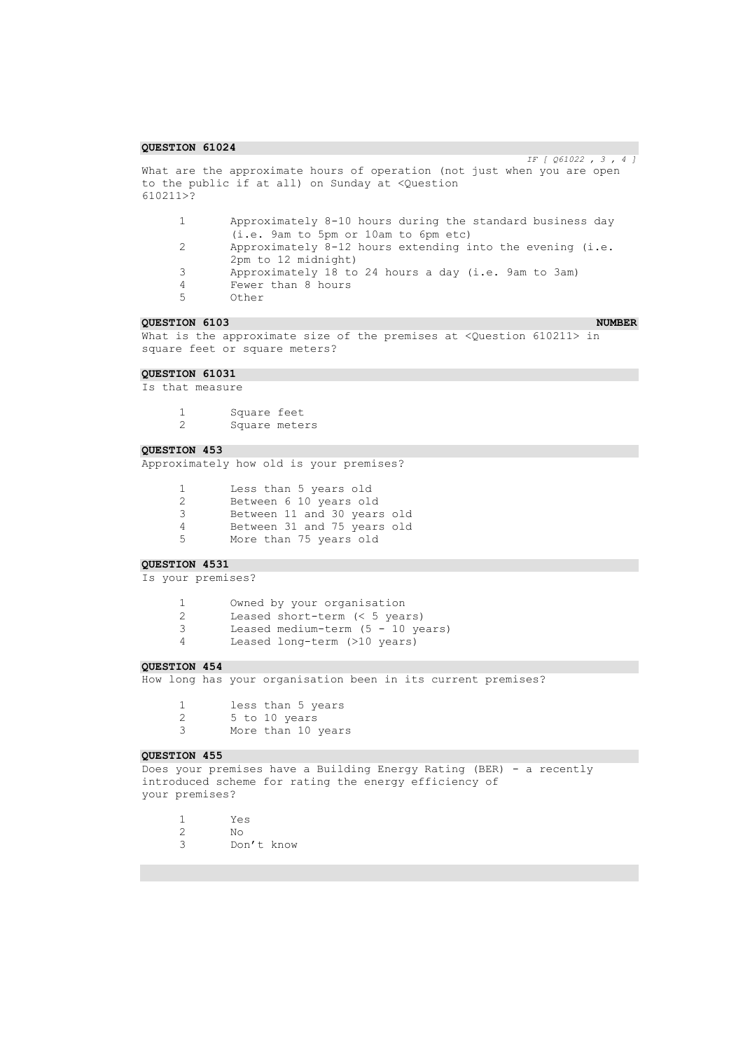*IF [ Q61022 , 3 , 4 ]*  What are the approximate hours of operation (not just when you are open to the public if at all) on Sunday at <Question 610211>? 1 Approximately 8-10 hours during the standard business day (i.e. 9am to 5pm or 10am to 6pm etc) 2 Approximately 8-12 hours extending into the evening (i.e. 2pm to 12 midnight) 3 Approximately 18 to 24 hours a day (i.e. 9am to 3am) 4 Fewer than 8 hours Other **QUESTION 6103** NUMBER **NUMBER NUMBER NUMBER NUMBER NUMBER** What is the approximate size of the premises at <Question 610211> in square feet or square meters? **QUESTION 61031**  Is that measure 1 Square feet<br>2 Square mete Square meters **QUESTION 453**  Approximately how old is your premises? 1 Less than 5 years old 2 Between 6 10 years old 3 Between 11 and 30 years old 4 Between 31 and 75 years old More than 75 years old **QUESTION 4531**  Is your premises? 1 Owned by your organisation 2 Leased short-term (< 5 years) 3 Leased medium-term (5 - 10 years) 4 Leased long-term (>10 years) **QUESTION 454**  How long has your organisation been in its current premises? 1 less than 5 years 2 5 to 10 years<br>3 More than 10 More than 10 years **QUESTION 455**  Does your premises have a Building Energy Rating (BER) - a recently introduced scheme for rating the energy efficiency of your premises?

1 Yes  $N<sub>O</sub>$ 3 Don't know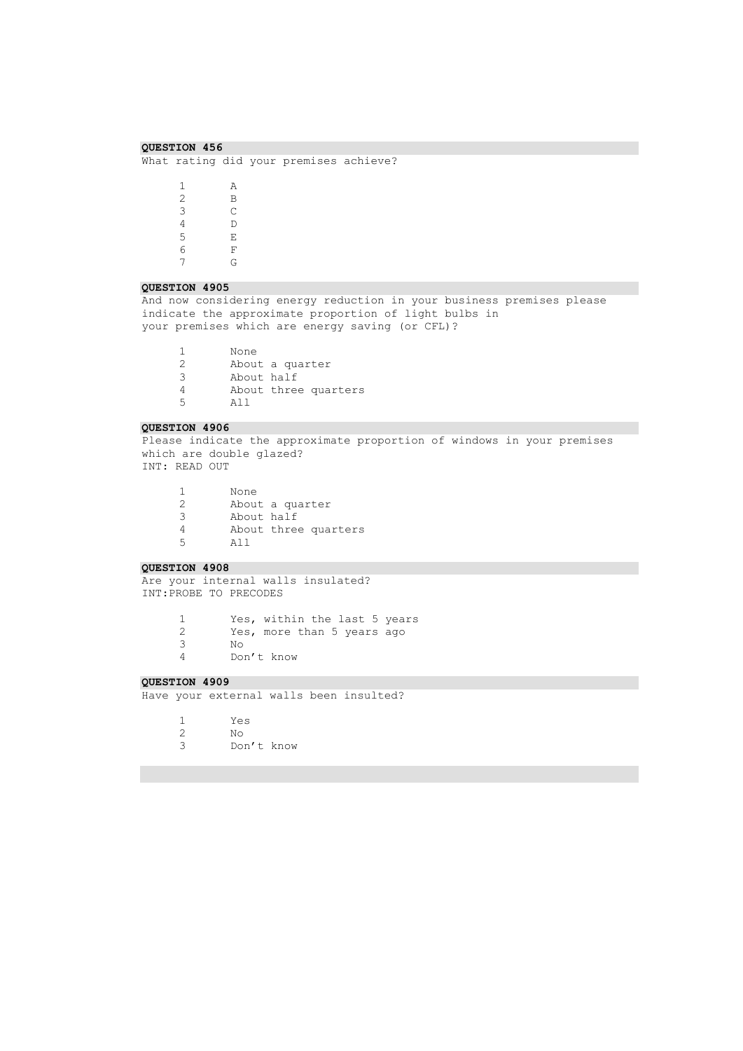## **QUESTION 456**  What rating did your premises achieve? 1 A  $\begin{array}{ccc} 2 & \qquad & \mathbf{B} \\ 3 & \qquad & \mathbf{C} \end{array}$

 $\begin{array}{ccc} 3 & \hspace{1.5cm} & \hspace{1.5cm} \\ 4 & \hspace{1.5cm} & \hspace{1.5cm} \hspace{1.5cm} \hspace{1.5cm} \end{array}$  $\begin{array}{ccc} 4 & & D \\ 5 & & E \end{array}$  $\begin{array}{ccc} 5 & \quad & \quad \mathbb{E} \\ 6 & \quad & \quad \mathbb{F} \end{array}$  $\,$  F 7 G

### **QUESTION 4905**

And now considering energy reduction in your business premises please indicate the approximate proportion of light bulbs in your premises which are energy saving (or CFL)?

1 None<br>2 About About a quarter 3 About half<br>4 About three 4 About three quarters All

#### **QUESTION 4906**

Please indicate the approximate proportion of windows in your premises which are double glazed? INT: READ OUT

1 None<br>2 About About a quarter 3 About half 4 About three quarters All

## **QUESTION 4908**

Are your internal walls insulated? INT:PROBE TO PRECODES

> Yes, within the last 5 years Yes, more than 5 years ago 3 No Don't know

## **QUESTION 4909**

Have your external walls been insulted?

1 Yes  $N<sub>O</sub>$ 

3 Don't know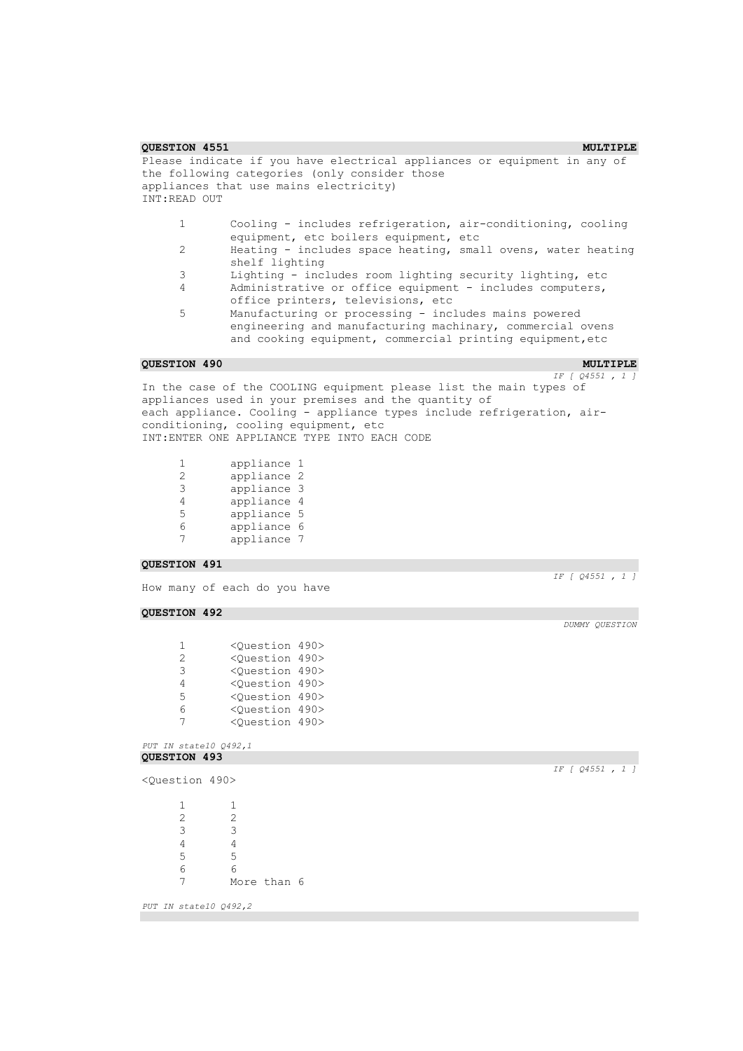```
QUESTION 4551 MULTIPLE MULTIPLE
Please indicate if you have electrical appliances or equipment in any of 
the following categories (only consider those
appliances that use mains electricity)
INT:READ OUT
     1 Cooling - includes refrigeration, air-conditioning, cooling 
            equipment, etc boilers equipment, etc
     2 Heating - includes space heating, small ovens, water heating 
            shelf lighting
     3 Lighting - includes room lighting security lighting, etc
     4 Administrative or office equipment - includes computers, 
            office printers, televisions, etc
     5 Manufacturing or processing - includes mains powered 
            engineering and manufacturing machinary, commercial ovens 
            and cooking equipment, commercial printing equipment,etc
QUESTION 490 MULTIPLE MULTIPLE
                                                         IF [ Q4551 , 1 ] 
In the case of the COOLING equipment please list the main types of 
appliances used in your premises and the quantity of
each appliance. Cooling - appliance types include refrigeration, air-
conditioning, cooling equipment, etc
INT:ENTER ONE APPLIANCE TYPE INTO EACH CODE
     1 appliance 1<br>2 appliance 2
     2 appliance 2<br>3 appliance 3
            3 appliance 3
     4 appliance 4
     5 appliance 5
     6 appliance 6
            7 appliance 7
QUESTION 491 
                                                         IF [ Q4551 , 1 ] 
How many of each do you have
QUESTION 492 
                                                           DUMMY QUESTION 
     1 <Question 490>
     2 <Question 490>
     3 <Question 490>
     4 <Question 490>
     5 <Question 490>
     6 <Question 490>
     7 <Question 490>
PUT IN state10 Q492,1 
QUESTION 493 
                                                         IF [ Q4551 , 1 ] 
<Question 490>
     1 1
     2 2
     3 3
     \frac{4}{5} \frac{4}{5}5 5
     6 6
     7 More than 6
PUT IN state10 Q492,2
```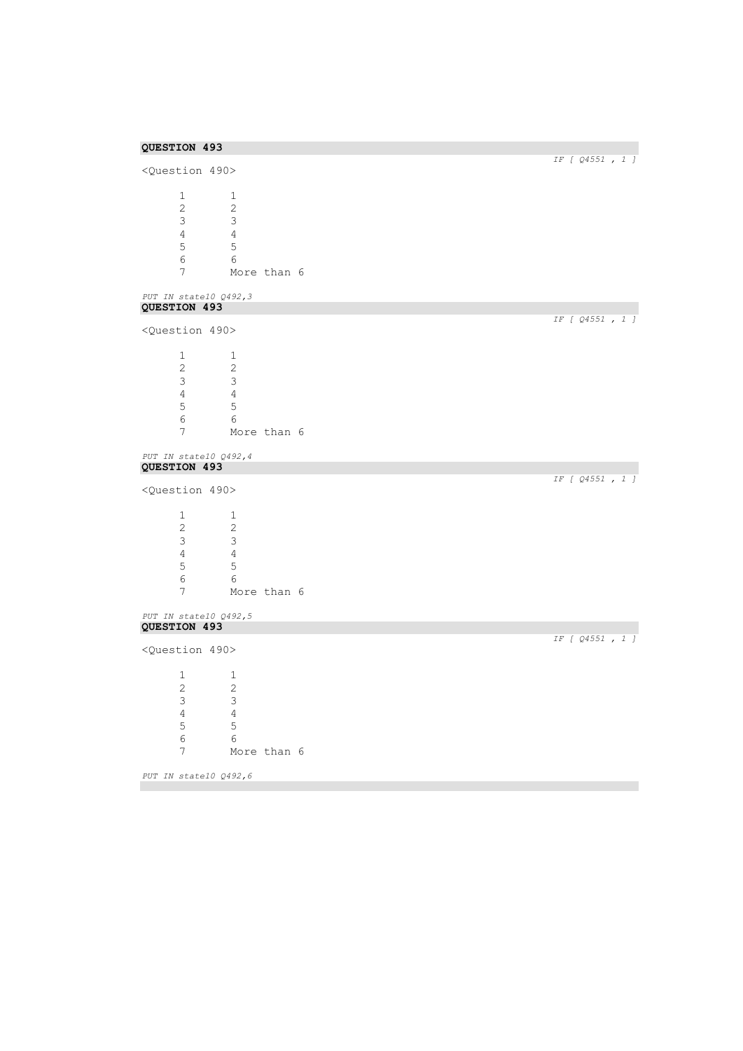| QUESTION 493                 |                | IF [ Q4551, 1 ] |
|------------------------------|----------------|-----------------|
| <question 490=""></question> |                |                 |
| $\mathbf{1}$                 | 1              |                 |
| $\overline{c}$               | $\mathbf{2}$   |                 |
| 3                            | 3              |                 |
| $\overline{4}$               | $\overline{4}$ |                 |
| $\mathsf S$                  | 5              |                 |
| 6                            | 6              |                 |
| 7                            | More than 6    |                 |
| PUT IN state10 Q492,3        |                |                 |
| QUESTION 493                 |                | IF [ Q4551, 1 ] |
| <question 490=""></question> |                |                 |
| 1                            | 1              |                 |
| $\sqrt{2}$                   | $\sqrt{2}$     |                 |
| 3                            | $\mathfrak{Z}$ |                 |
| $\overline{4}$               | $\overline{4}$ |                 |
| $\mathsf S$                  | 5              |                 |
| $\epsilon$                   | 6              |                 |
| $\overline{7}$               | More than 6    |                 |
| PUT IN state10 Q492,4        |                |                 |
| QUESTION 493                 |                | IF [ Q4551, 1 ] |
| <question 490=""></question> |                |                 |
| $\mathbf{1}$                 | $\mathbf{1}$   |                 |
| $\overline{c}$               | 2              |                 |
| $\mathsf 3$                  | 3              |                 |
| $\sqrt{4}$                   | $\overline{4}$ |                 |
| 5                            | 5              |                 |
| 6                            | 6              |                 |
| $\overline{7}$               | More than 6    |                 |
| PUT IN state10 Q492,5        |                |                 |
| QUESTION 493                 |                | IF [ Q4551, 1 ] |
| <question 490=""></question> |                |                 |
| 1                            | 1              |                 |
| $\overline{c}$               | $\overline{2}$ |                 |
| 3                            | 3              |                 |
| $\sqrt{4}$                   | $\sqrt{4}$     |                 |
| $\mathsf S$                  | 5              |                 |
| $\epsilon$                   | 6              |                 |
| 7                            | More than 6    |                 |
| PUT IN state10 Q492,6        |                |                 |
|                              |                |                 |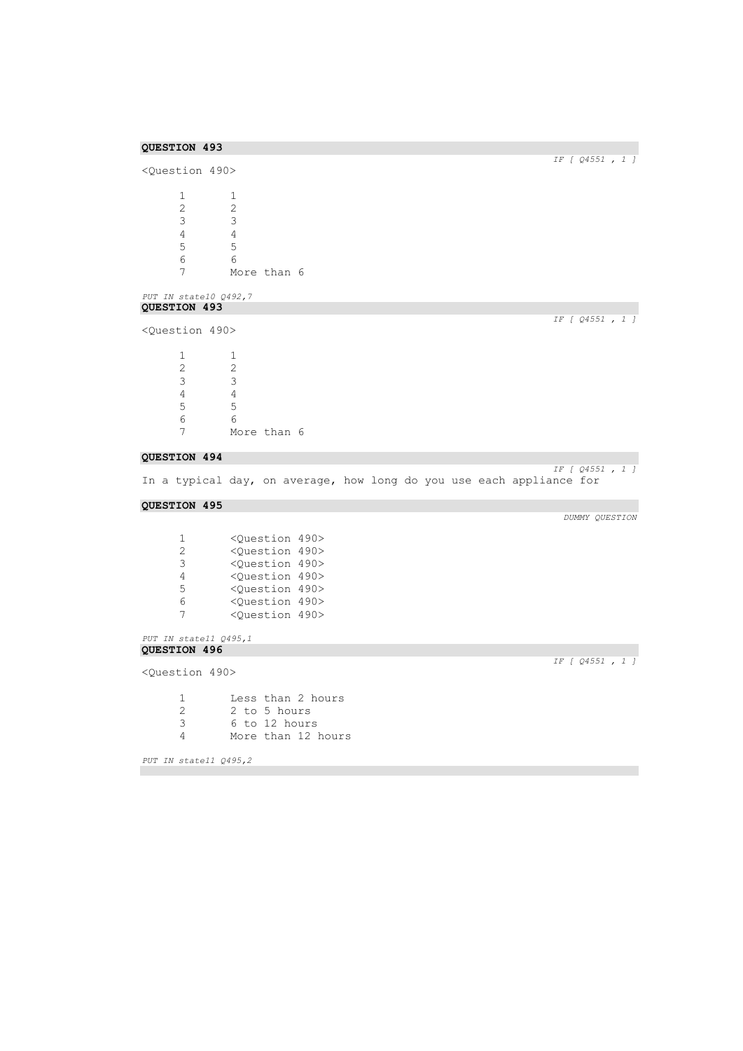## **QUESTION 493**  *IF [ Q4551 , 1 ]*  <Question 490>  $\begin{array}{ccc} 1 & \hspace{1.5cm} & 1 \\ 2 & \hspace{1.5cm} & 2 \end{array}$  $\begin{array}{ccc} 2 & \hspace{1.5cm} 2 \\ 3 & \hspace{1.5cm} 3 \end{array}$ 3 3  $\begin{array}{ccc} 4 & 4 \\ 5 & 5 \end{array}$ 5 5 6 6 More than 6 *PUT IN state10 Q492,7*  **QUESTION 493**  *IF [ Q4551 , 1 ]*  <Question 490>  $\begin{array}{ccc} 1 & & 1 \\ 2 & & 2 \end{array}$  $\frac{2}{3}$  $\begin{array}{ccc} 3 & & 3 \\ 4 & & 4 \end{array}$  $\begin{array}{ccc} 4 & & 4 \\ 5 & & 5 \end{array}$ 5 5 6 6 More than 6 **QUESTION 494**  *IF [ Q4551 , 1 ]*  In a typical day, on average, how long do you use each appliance for **QUESTION 495**  *DUMMY QUESTION*  1 <Question 490><br>2 <Question 490> 2 <Question 490> 3 <Question 490> 4 < Question 490><br>5 < Question 490> 5 <Question 490> 6 <Question 490> 7 <Question 490> *PUT IN state11 Q495,1*  **QUESTION 496**  *IF [ Q4551 , 1 ]*  <Question 490> 1 Less than 2 hours<br>2 2 to 5 hours 2 2 to 5 hours<br>3 6 to 12 hours 3 6 to 12 hours More than 12 hours *PUT IN state11 Q495,2*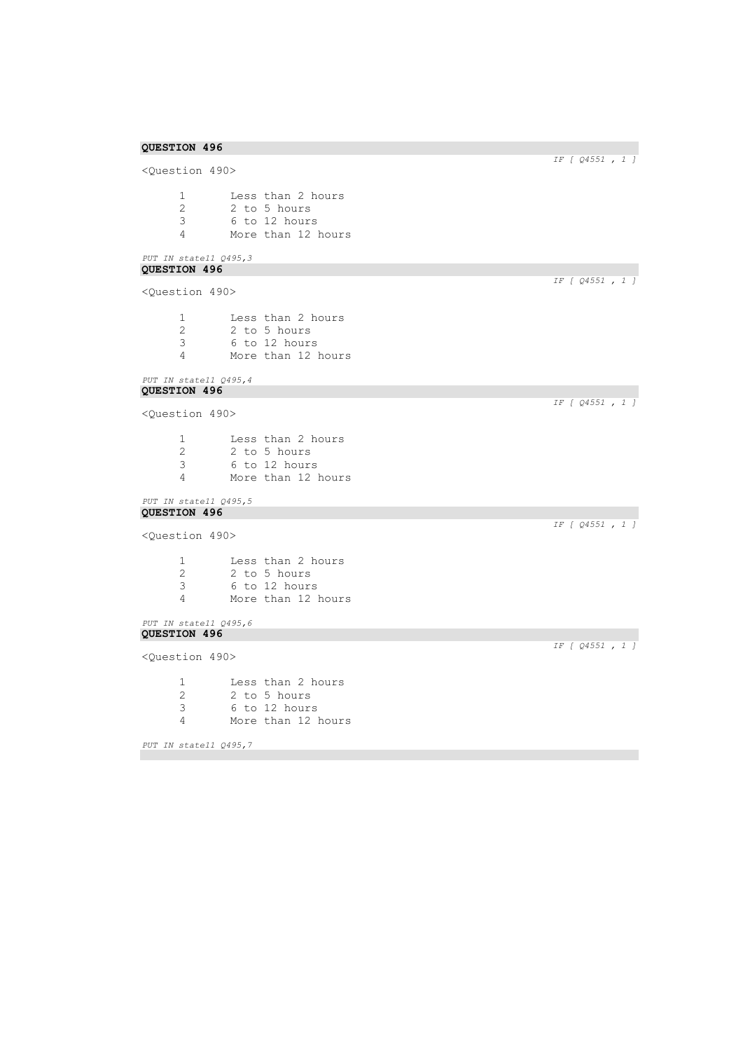<Question 490> 1 Less than 2 hours<br>2 2 to 5 hours 2 2 to 5 hours<br>3 6 to 12 hours 3 6 to 12 hours 4 More than 12 hours

## *PUT IN state11 Q495,3*  **QUESTION 496**

<Question 490>

| -1 | Less than 2 hours  |
|----|--------------------|
| 2  | 2 to 5 hours       |
| 3  | 6 to 12 hours      |
| Δ  | More than 12 hours |
|    |                    |

#### *PUT IN state11 Q495,4*  **QUESTION 496**

<Question 490>

1 Less than 2 hours 2 2 to 5 hours<br>3 6 to 12 hours 3 6 to 12 hours More than 12 hours

#### *PUT IN state11 Q495,5*  **QUESTION 496**

<Question 490>

 Less than 2 hours 2 2 to 5 hours<br>3 6 to 12 hours 6 to 12 hours More than 12 hours

## *PUT IN state11 Q495,6*  **QUESTION 496**

<Question 490>

1 Less than 2 hours<br>2 2 to 5 hours 2 2 to 5 hours<br>3 6 to 12 hours 3 6 to 12 hours 4 More than 12 hours

*PUT IN state11 Q495,7* 

*IF [ Q4551 , 1 ]* 

*IF [ Q4551 , 1 ]* 

*IF [ Q4551 , 1 ]* 

*IF [ Q4551 , 1 ]* 

*IF [ Q4551 , 1 ]*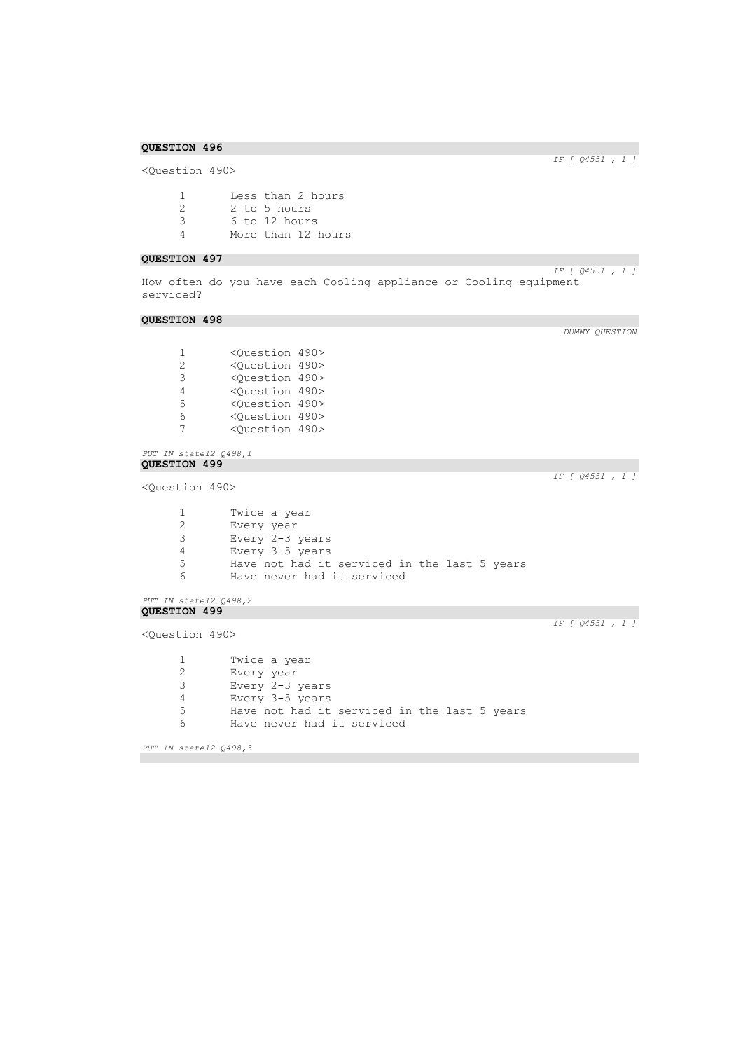<Question 490>

| -1 | Less than 2 hours  |
|----|--------------------|
| 2  | 2 to 5 hours       |
| 3  | 6 to 12 hours      |
| Δ  | More than 12 hours |

### **QUESTION 497**

*IF [ Q4551 , 1 ]*  How often do you have each Cooling appliance or Cooling equipment serviced?

### **QUESTION 498**

*DUMMY QUESTION* 

*IF [ Q4551 , 1 ]* 

| 1 | <question 490=""></question> |  |
|---|------------------------------|--|
| 2 | <question 490=""></question> |  |
| З | <ouestion 490=""></ouestion> |  |
| 4 | <question 490=""></question> |  |
| 5 | <ouestion 490=""></ouestion> |  |
| 6 | <question 490=""></question> |  |
|   | <ouestion 490=""></ouestion> |  |

## *PUT IN state12 Q498,1*  **QUESTION 499**

<Question 490>

| 1  | Twice a year                                 |
|----|----------------------------------------------|
| 2  | Every year                                   |
| 3  | Every 2-3 years                              |
| 4  | Every 3-5 years                              |
| 5. | Have not had it serviced in the last 5 years |
|    |                                              |

6 Have never had it serviced

```
PUT IN state12 Q498,2 
QUESTION 499
```
<Question 490>

1 Twice a year<br>2 Every year Every year Every 2-3 years Every 3-5 years Have not had it serviced in the last 5 years Have never had it serviced

*PUT IN state12 Q498,3* 

*IF [ Q4551 , 1 ]* 

*IF [ Q4551 , 1 ]*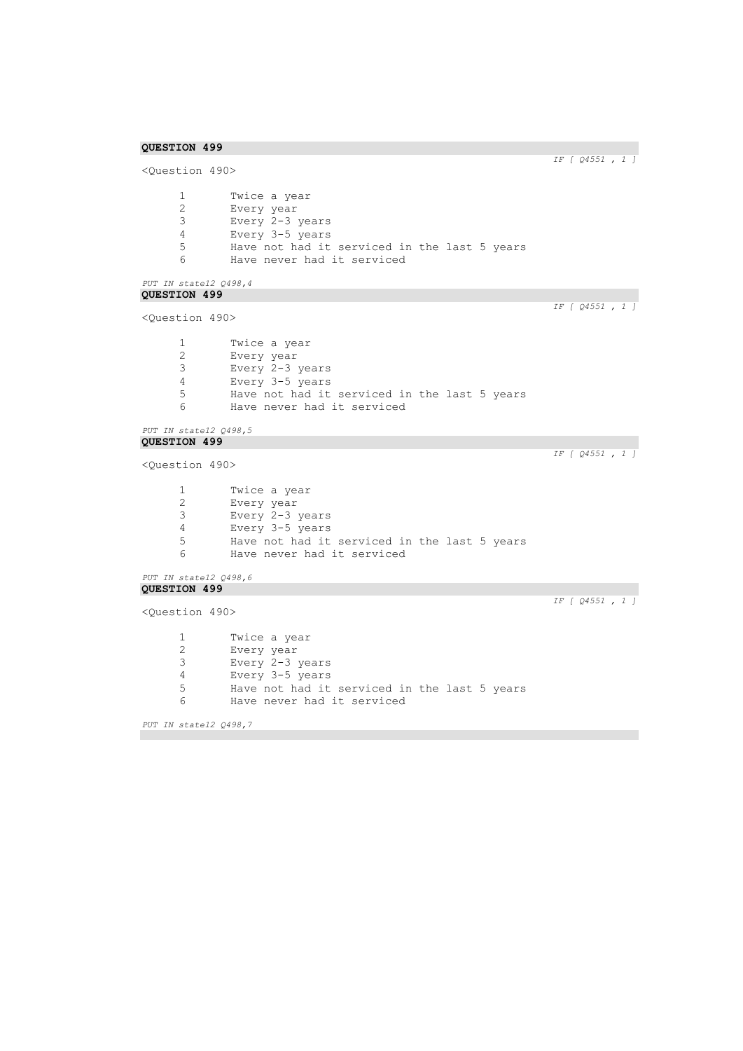```
IF [ Q4551 , 1 ]
```

```
<Question 490>
      1 Twice a year<br>2 Every year
       2 Every year
       3 Every 2-3 years
      4 Every 3-5 years<br>5 Have not had it
      5 Have not had it serviced in the last 5 years<br>6 Have never had it serviced
               Have never had it serviced
PUT IN state12 Q498,4 
QUESTION 499 
                                                                         IF [ Q4551 , 1 ] 
<Question 490>
      1 Twice a year<br>2 Every year
       2 Every year
       3 Every 2-3 years
      4 Every 3-5 years
      5 Have not had it serviced in the last 5 years<br>6 Have never had it serviced
               Have never had it serviced
PUT IN state12 Q498,5 
QUESTION 499 
                                                                         IF [ Q4551 , 1 ] 
<Question 490>
      1 Twice a year<br>2 Every year
               Every year
      3 Every 2-3 years
      4 Every 3-5 years
      5 Have not had it serviced in the last 5 years<br>6 Have never had it serviced
               Have never had it serviced
PUT IN state12 Q498,6 
QUESTION 499 
                                                                         IF [ Q4551 , 1 ] 
<Question 490>
      1 Twice a year<br>2 Every year
      2 Every year<br>3 Every 2-3
               Every 2-3 years
      4 Every 3-5 years<br>5 Have not had it
               Have not had it serviced in the last 5 years
      6 Have never had it serviced
PUT IN state12 Q498,7
```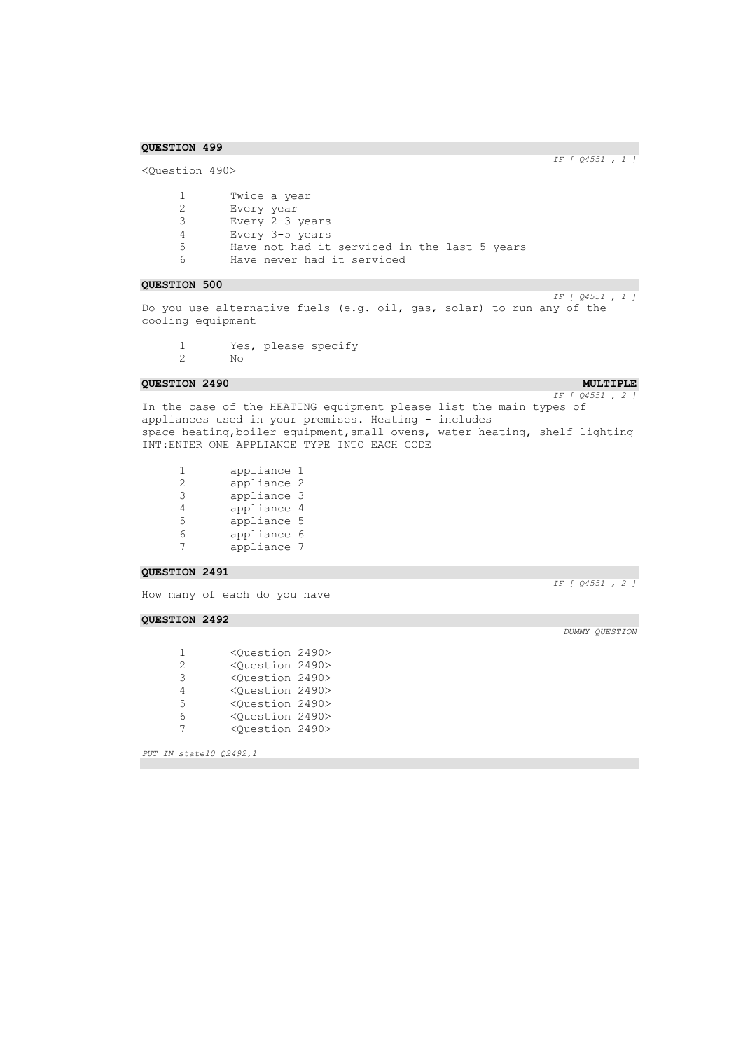<Question 490>

*IF [ Q4551 , 1 ]* 

| $\mathbf{1}$ | Twice a year                                 |
|--------------|----------------------------------------------|
| 2.           | Every year                                   |
| 3.           | Every 2-3 years                              |
| 4            | Every 3-5 years                              |
| 5            | Have not had it serviced in the last 5 years |
| 6            | Have never had it serviced                   |

## **QUESTION 500**

*IF [ Q4551 , 1 ]*  Do you use alternative fuels (e.g. oil, gas, solar) to run any of the cooling equipment

1 Yes, please specify<br>2 No 2 No

### **QUESTION 2490 MULTIPLE MULTIPLE**

*IF [ Q4551 , 2 ]*  In the case of the HEATING equipment please list the main types of appliances used in your premises. Heating - includes space heating, boiler equipment, small ovens, water heating, shelf lighting INT:ENTER ONE APPLIANCE TYPE INTO EACH CODE

1 appliance 1<br>2 appliance 2 2 appliance 2<br>3 appliance 3 3 appliance 3 4 appliance 4 5 appliance 5<br>6 appliance 6 6 appliance 6<br>7 appliance 7 7 appliance 7

## **QUESTION 2491**

How many of each do you have

#### **QUESTION 2492**

| 1             | <ouestion 2490=""></ouestion> |  |
|---------------|-------------------------------|--|
| $\mathcal{D}$ | <ouestion 2490=""></ouestion> |  |
| 3             | <ouestion 2490=""></ouestion> |  |
| 4             | <ouestion 2490=""></ouestion> |  |
| 5             | <ouestion 2490=""></ouestion> |  |
| 6             | <question 2490=""></question> |  |
| 7             | <question 2490=""></question> |  |

*PUT IN state10 Q2492,1* 

*DUMMY QUESTION* 

*IF [ Q4551 , 2 ]*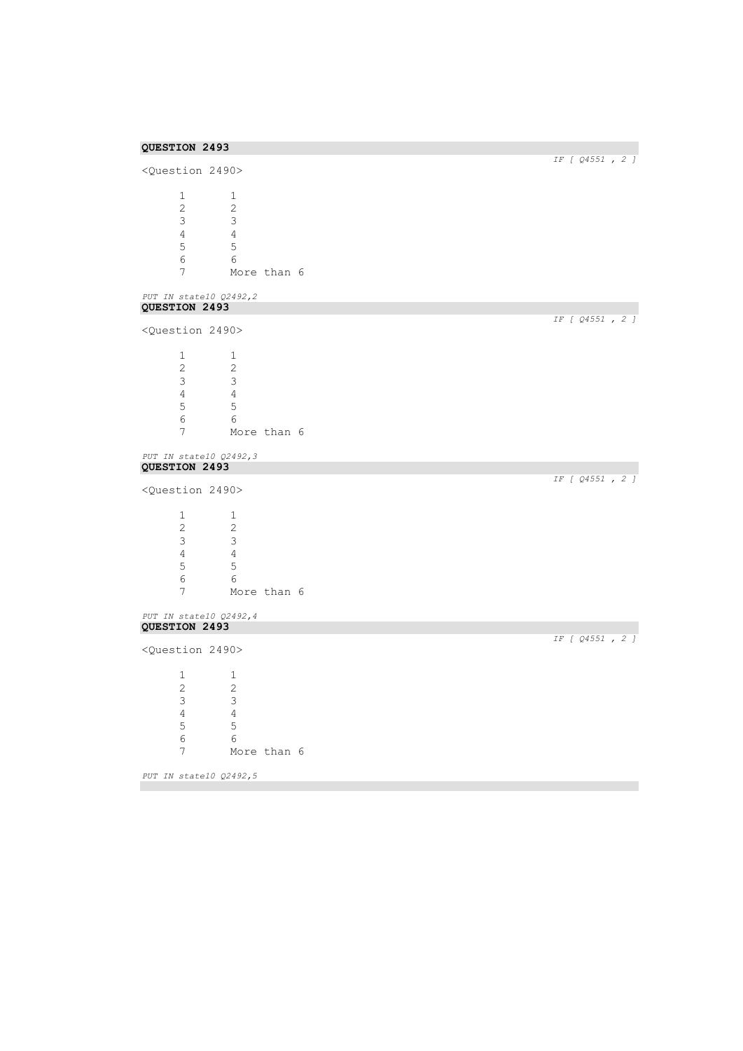| <question 2490=""></question>           |                           |             | IF [ Q4551 , 2 ] |
|-----------------------------------------|---------------------------|-------------|------------------|
|                                         |                           |             |                  |
| 1                                       | 1                         |             |                  |
| $\overline{2}$                          | 2                         |             |                  |
| $\mathsf 3$                             | 3                         |             |                  |
| $\overline{4}$                          | $\overline{4}$            |             |                  |
| 5                                       | 5                         |             |                  |
| $\epsilon$                              | 6                         |             |                  |
| 7                                       |                           | More than 6 |                  |
| PUT IN state10 Q2492,2                  |                           |             |                  |
| QUESTION 2493                           |                           |             | IF [ 04551, 2 ]  |
| <question 2490=""></question>           |                           |             |                  |
| $\mathbf{1}$                            | 1                         |             |                  |
| $\overline{2}$                          | 2                         |             |                  |
| 3                                       | 3                         |             |                  |
| $\overline{4}$                          | $\overline{4}$            |             |                  |
| 5                                       | 5                         |             |                  |
| 6                                       | 6                         |             |                  |
| $\overline{7}$                          |                           | More than 6 |                  |
|                                         |                           |             |                  |
| PUT IN state10 Q2492,3                  |                           |             |                  |
| QUESTION 2493                           |                           |             | IF [ Q4551 , 2 ] |
| <question 2490=""></question>           |                           |             |                  |
| $\mathbf{1}$                            | 1                         |             |                  |
| 2                                       | 2                         |             |                  |
| 3                                       | $\mathcal{E}$             |             |                  |
| 4                                       | $\overline{4}$            |             |                  |
|                                         |                           |             |                  |
| $\mathsf S$                             | $\mathsf S$               |             |                  |
| 6                                       | 6                         |             |                  |
| 7                                       |                           | More than 6 |                  |
| PUT IN state10 Q2492,4<br>QUESTION 2493 |                           |             |                  |
|                                         |                           |             | IF [ Q4551 , 2 ] |
| <question 2490=""></question>           |                           |             |                  |
| 1                                       | 1                         |             |                  |
| $\overline{c}$                          | $\overline{c}$            |             |                  |
| 3                                       | $\ensuremath{\mathsf{3}}$ |             |                  |
| $\overline{4}$                          | $\sqrt{4}$                |             |                  |
| 5                                       | $\mathsf S$               |             |                  |
| $\epsilon$                              | 6                         |             |                  |
|                                         |                           | More than 6 |                  |
| 7                                       |                           |             |                  |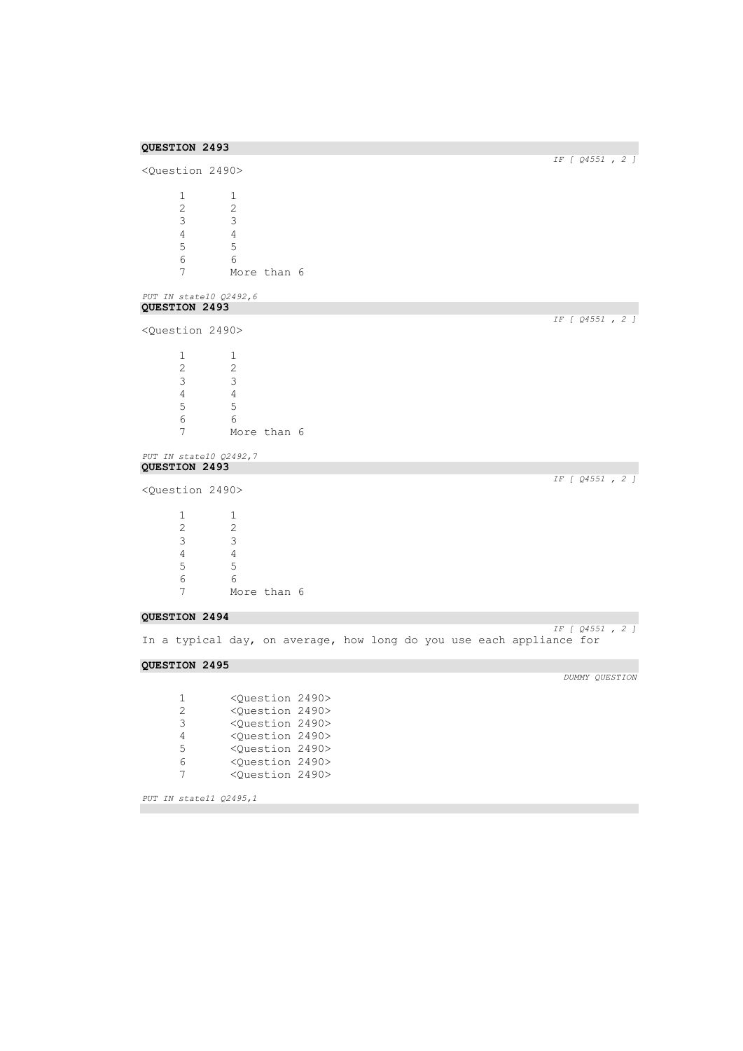| QUESTION 2493                                                                                         |                                                                                                                                     |                  |  |
|-------------------------------------------------------------------------------------------------------|-------------------------------------------------------------------------------------------------------------------------------------|------------------|--|
| <question 2490=""></question>                                                                         |                                                                                                                                     | IF [ Q4551, 2 ]  |  |
| $\mathbf{1}$<br>$\mathbf{2}^{\prime}$<br>3<br>$\overline{4}$<br>5<br>6<br>7<br>PUT IN state10 Q2492,6 | $\mathbf 1$<br>$\overline{2}$<br>3<br>$\overline{4}$<br>5<br>6<br>More than 6                                                       |                  |  |
| QUESTION 2493                                                                                         |                                                                                                                                     |                  |  |
| <question 2490=""></question>                                                                         |                                                                                                                                     | IF [ Q4551, 2 ]  |  |
| 1<br>2<br>3<br>$\overline{4}$<br>5<br>$6\,$<br>7                                                      | 1<br>2<br>3<br>$\overline{4}$<br>5<br>6<br>More than 6                                                                              |                  |  |
| PUT IN state10 Q2492,7                                                                                |                                                                                                                                     |                  |  |
| QUESTION 2493                                                                                         |                                                                                                                                     | IF [ Q4551 , 2 ] |  |
| <question 2490=""></question>                                                                         |                                                                                                                                     |                  |  |
| $\mathbf{1}$<br>$\mathbf{2}$<br>3<br>4<br>5<br>$\epsilon$<br>7                                        | $\mathbf 1$<br>2<br>$\mathcal{E}$<br>$\overline{4}$<br>5<br>6<br>More than 6                                                        |                  |  |
| QUESTION 2494                                                                                         |                                                                                                                                     |                  |  |
|                                                                                                       | In a typical day, on average, how long do you use each appliance for                                                                | IF [ Q4551 , 2 ] |  |
| QUESTION 2495                                                                                         |                                                                                                                                     |                  |  |
| 1<br>2<br>3<br>$\overline{4}$                                                                         | <question 2490=""><br/><question 2490=""><br/><question 2490=""><br/><question 2490=""></question></question></question></question> | DUMMY QUESTION   |  |

*PUT IN state11 Q2495,1* 

 <Question 2490> <Question 2490> <Question 2490>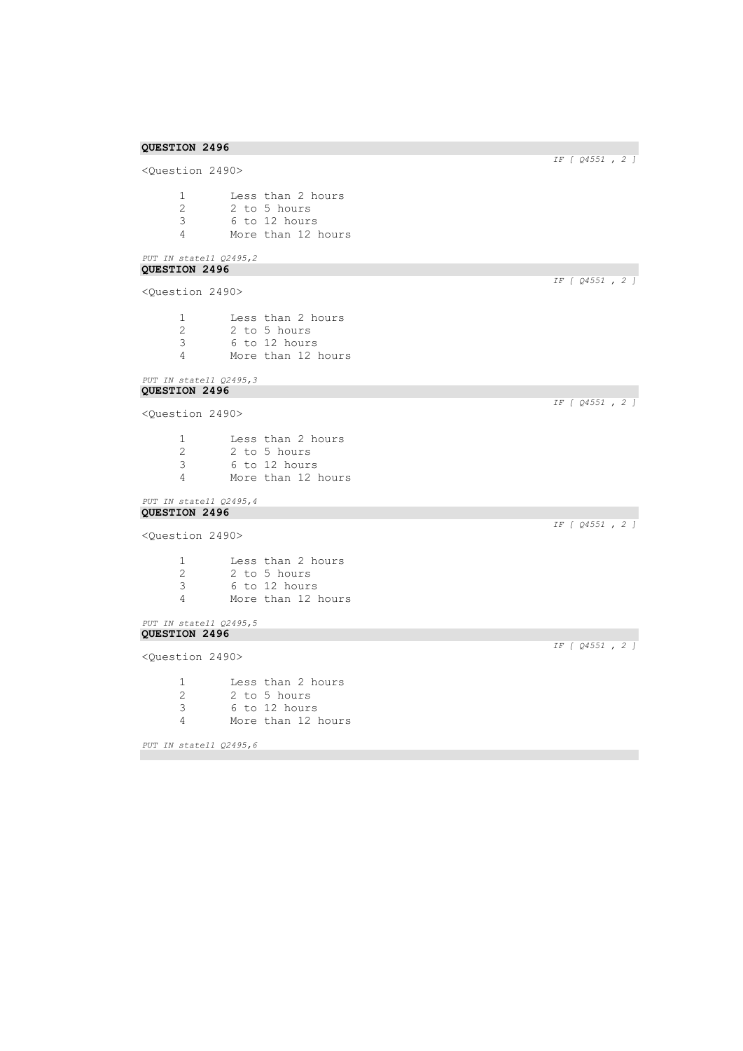<Question 2490> 1 Less than 2 hours<br>2 2 to 5 hours 2 2 to 5 hours<br>3 6 to 12 hours 3 6 to 12 hours 4 More than 12 hours

## *PUT IN state11 Q2495,2*  **QUESTION 2496**

<Question 2490>

|   | Less than 2 hours  |
|---|--------------------|
| 2 | 2 to 5 hours       |
| 3 | 6 to 12 hours      |
| Δ | More than 12 hours |

#### *PUT IN state11 Q2495,3*  **QUESTION 2496**

<Question 2490>

1 Less than 2 hours 2 2 to 5 hours<br>3 6 to 12 hours 3 6 to 12 hours More than 12 hours

#### *PUT IN state11 Q2495,4*  **QUESTION 2496**

<Question 2490>

 Less than 2 hours 2 2 to 5 hours<br>3 6 to 12 hours 6 to 12 hours More than 12 hours

## *PUT IN state11 Q2495,5*  **QUESTION 2496**

<Question 2490>

1 Less than 2 hours<br>2 2 to 5 hours 2 2 to 5 hours<br>3 6 to 12 hours 3 6 to 12 hours 4 More than 12 hours

*PUT IN state11 Q2495,6* 

*IF [ Q4551 , 2 ]* 

*IF [ Q4551 , 2 ]* 

*IF [ Q4551 , 2 ]* 

*IF [ Q4551 , 2 ]* 

*IF [ Q4551 , 2 ]*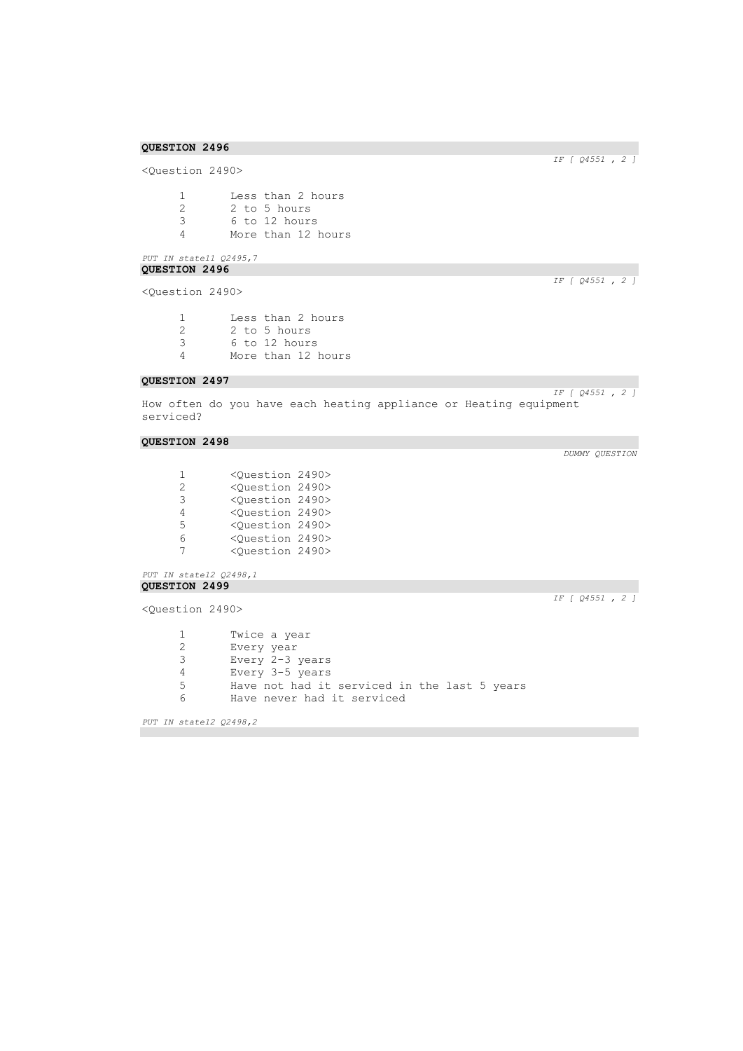<Question 2490>

1 Less than 2 hours<br>2 2 to 5 hours 2 2 to 5 hours<br>3 6 to 12 hours 3 6 to 12 hours 4 More than 12 hours

## *PUT IN state11 Q2495,7*  **QUESTION 2496**

<Question 2490>

| -1 | Less than 2 hours  |
|----|--------------------|
| -2 | 2 to 5 hours       |
| 3  | 6 to 12 hours      |
| Δ  | More than 12 hours |

## **QUESTION 2497**

How often do you have each heating appliance or Heating equipment serviced?

## **QUESTION 2498**

| 1             | <ouestion 2490=""></ouestion> |  |
|---------------|-------------------------------|--|
| $\mathcal{L}$ | <ouestion 2490=""></ouestion> |  |
| 3             | <ouestion 2490=""></ouestion> |  |
| 4             | <ouestion 2490=""></ouestion> |  |
| 5.            | <ouestion 2490=""></ouestion> |  |
| 6             | <ouestion 2490=""></ouestion> |  |
| 7             | <ouestion 2490=""></ouestion> |  |

*PUT IN state12 Q2498,1*  **QUESTION 2499** 

<Question 2490>

*IF [ Q4551 , 2 ]* 

1 Twice a year<br>2 Every year Every year Every 2-3 years Every 3-5 years Have not had it serviced in the last 5 years Have never had it serviced

*PUT IN state12 Q2498,2* 

*IF [ Q4551 , 2 ]*

*IF [ Q4551 , 2 ]* 

*IF [ Q4551 , 2 ]*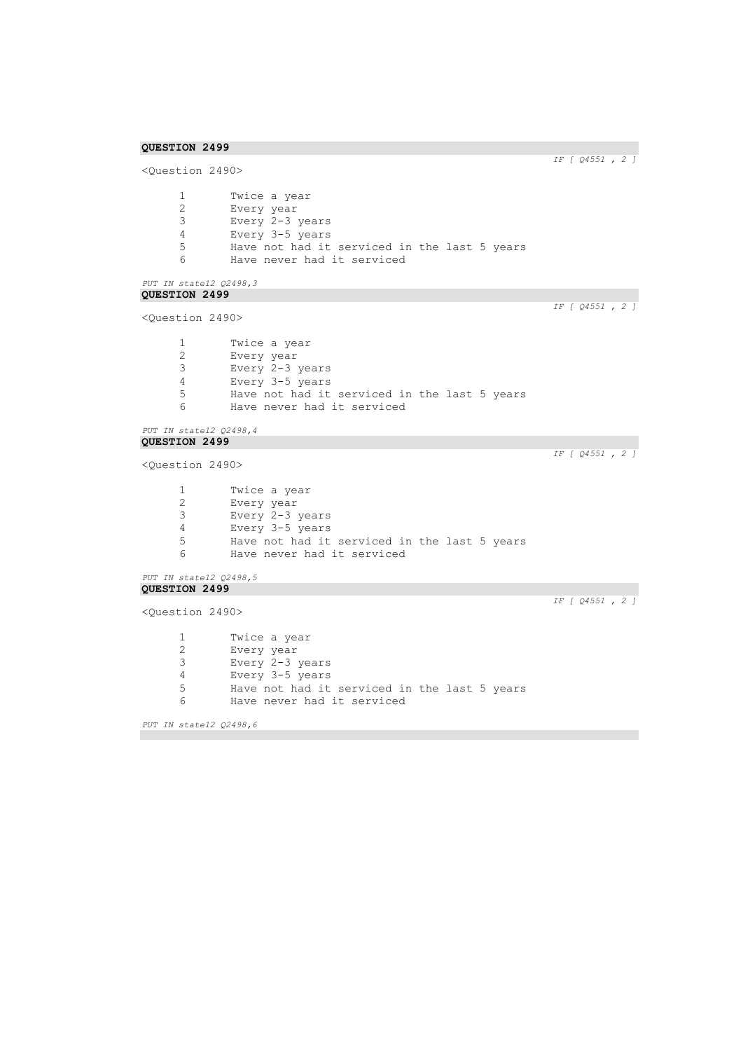```
IF [ Q4551 , 2 ] 
<Question 2490>
      1 Twice a year<br>2 Every year
       2 Every year
       3 Every 2-3 years
      4 Every 3-5 years<br>5 Have not had it
      5 Have not had it serviced in the last 5 years<br>6 Have never had it serviced
               Have never had it serviced
PUT IN state12 Q2498,3 
QUESTION 2499 
                                                                         IF [ Q4551 , 2 ] 
<Question 2490>
      1 Twice a year<br>2 Every year
       2 Every year
       3 Every 2-3 years
      4 Every 3-5 years
      5 Have not had it serviced in the last 5 years<br>6 Have never had it serviced
               Have never had it serviced
PUT IN state12 Q2498,4 
QUESTION 2499 
                                                                         IF [ Q4551 , 2 ] 
<Question 2490>
      1 Twice a year<br>2 Every year
               Every year
      3 Every 2-3 years
      4 Every 3-5 years
      5 Have not had it serviced in the last 5 years<br>6 Have never had it serviced
               Have never had it serviced
PUT IN state12 Q2498,5 
QUESTION 2499 
                                                                         IF [ Q4551 , 2 ] 
<Question 2490>
      1 Twice a year<br>2 Every year
      2 Every year<br>3 Every 2-3
               Every 2-3 years
      4 Every 3-5 years<br>5 Have not had it
               Have not had it serviced in the last 5 years
      6 Have never had it serviced
```
*PUT IN state12 Q2498,6*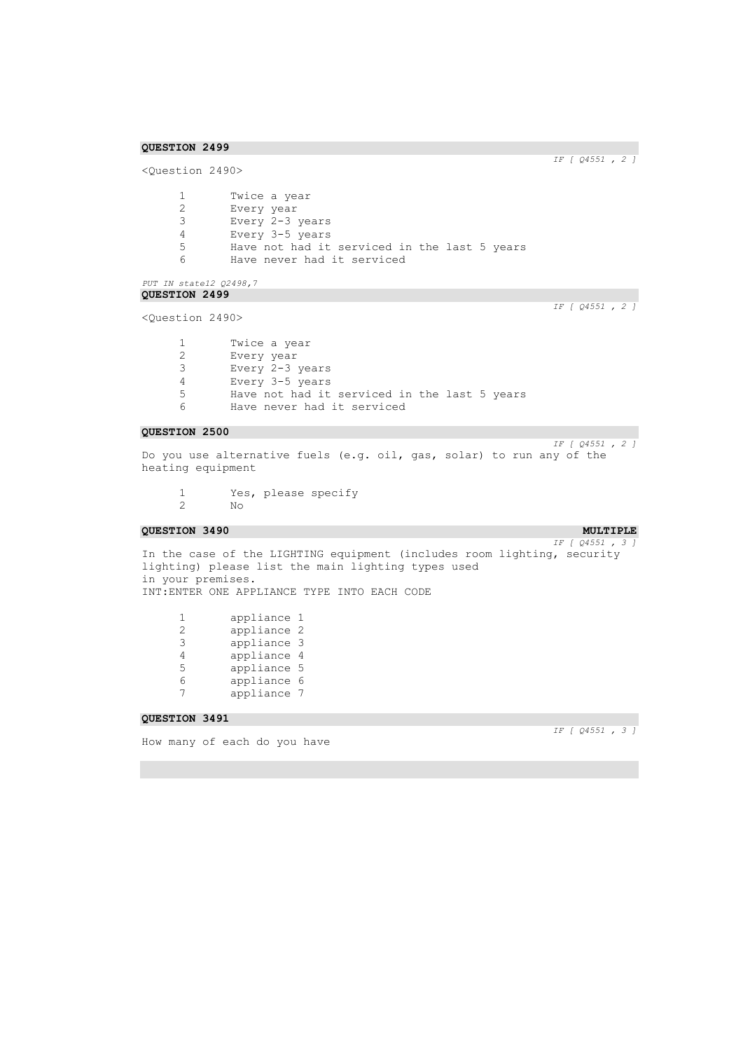*IF [ Q4551 , 2 ]* 

```
<Question 2490>
       1 Twice a year<br>2 Every year
       2 Every year
       3 Every 2-3 years
       4 Every 3-5 years<br>5 Have not had it
       5 Have not had it serviced in the last 5 years<br>6 Have never had it serviced
                Have never had it serviced
PUT IN state12 Q2498,7 
QUESTION 2499 
                                                                             IF [ Q4551 , 2 ] 
<Question 2490>
       1 Twice a year<br>2 Every year
```
2 Every year 3 Every 2-3 years 4 Every 3-5 years 5 Have not had it serviced in the last 5 years<br>6 Have never had it serviced Have never had it serviced

## **QUESTION 2500**

*IF [ Q4551 , 2 ]*  Do you use alternative fuels (e.g. oil, gas, solar) to run any of the heating equipment

1 Yes, please specify<br>2 No 2 No

## **QUESTION 3490 MULTIPLE MULTIPLE**

*IF [ Q4551 , 3 ]*  In the case of the LIGHTING equipment (includes room lighting, security lighting) please list the main lighting types used in your premises. INT:ENTER ONE APPLIANCE TYPE INTO EACH CODE

| 1 | appliance 1 |   |
|---|-------------|---|
| 2 | appliance 2 |   |
| 3 | appliance 3 |   |
| 4 | appliance 4 |   |
| 5 | appliance 5 |   |
| 6 | appliance   | 6 |
| 7 | appliance 7 |   |

**QUESTION 3491** 

How many of each do you have

*IF [ Q4551 , 3 ]*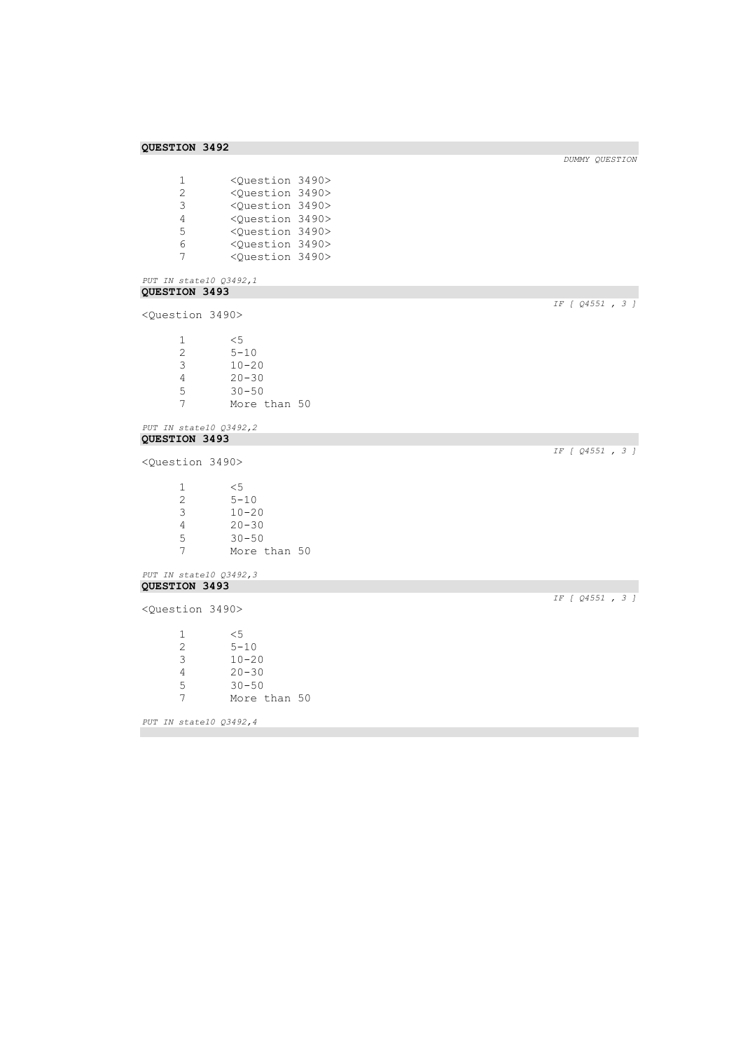| 1 | <ouestion 3490=""></ouestion> |  |
|---|-------------------------------|--|
| 2 | <ouestion 3490=""></ouestion> |  |
| 3 | <ouestion 3490=""></ouestion> |  |
| 4 | <ouestion 3490=""></ouestion> |  |
| 5 | <ouestion 3490=""></ouestion> |  |
| 6 | <ouestion 3490=""></ouestion> |  |
| 7 | <ouestion 3490=""></ouestion> |  |

# *PUT IN state10 Q3492,1*  **QUESTION 3493**

<Question 3490>

1 <5 2 5-10 3 10-20 4 20-30 5 30-50 7 More than 50

#### *PUT IN state10 Q3492,2*  **QUESTION 3493**

<Question 3490>

| 1. | $\leq 5$     |  |
|----|--------------|--|
| 2  | $5 - 10$     |  |
| 3  | $10 - 20$    |  |
| 4  | $20 - 30$    |  |
| 5  | $30 - 50$    |  |
|    | More than 50 |  |
|    |              |  |

#### *PUT IN state10 Q3492,3*  **QUESTION 3493**

<Question 3490>

 $\begin{array}{ccc} 1 & & \leq 5 \\ 2 & & \end{array}$  $2 5-10$ <br>3  $10-20$ 3 10-20 4 20-30 5 30-50 7 More than 50

*PUT IN state10 Q3492,4* 

*IF [ Q4551 , 3 ]* 

*DUMMY QUESTION* 

*IF [ Q4551 , 3 ]* 

*IF [ Q4551 , 3 ]*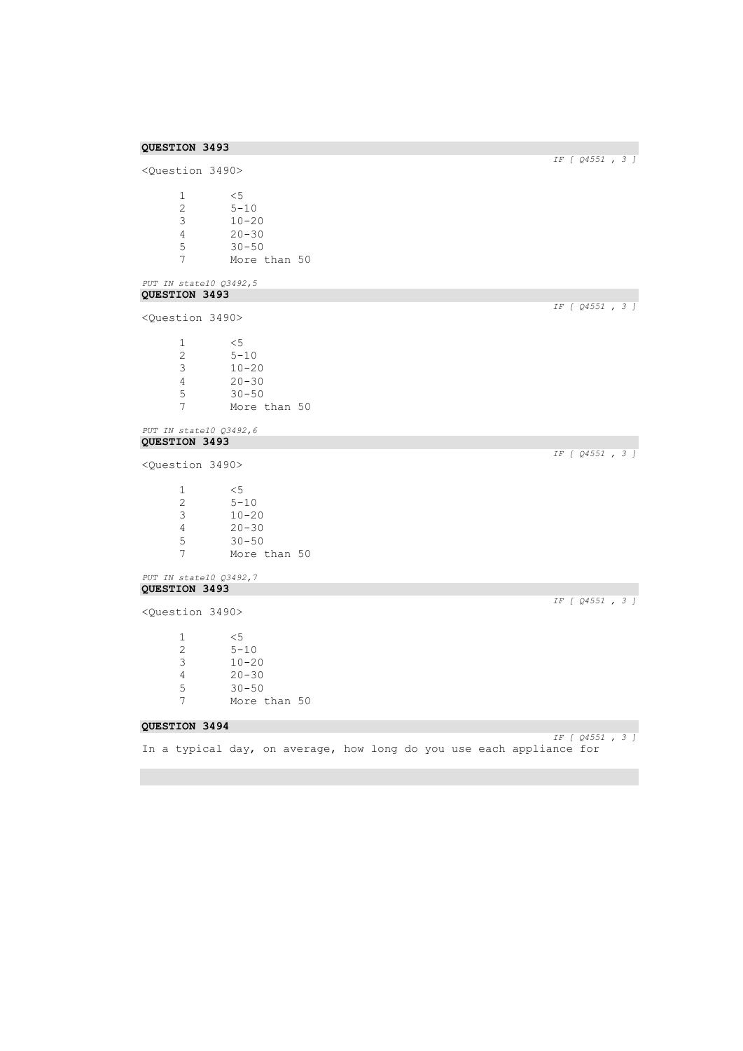```
QUESTION 3493 
                                                                                                       IF [ Q4551 , 3 ] 
<Question 3490>
         \begin{array}{ccc} 1 & & \leq 5 \\ 2 & & 5 - 2 \end{array}\begin{array}{ccc} 2 & 5-10 \\ 3 & 10-2 \end{array}10 - 20\begin{array}{cc} 4 & 20 - 30 \\ 5 & 30 - 50 \end{array}5 30-50<br>7 More
                     More than 50
PUT IN state10 Q3492,5 
QUESTION 3493 
                                                                                                       IF [ Q4551 , 3 ] 
<Question 3490>
         \begin{array}{ccc} 1 & & \leq 5 \\ 2 & & 5-1 \end{array}\frac{2}{3} 5-10<br>3 10-20
                     10 - 204 20-30<br>5 30-50
         5 30-50<br>7 More t
                     More than 50
PUT IN state10 Q3492,6 
QUESTION 3493 
                                                                                                       IF [ Q4551 , 3 ] 
<Question 3490>
         \frac{1}{2} <5<br>5-1
         \begin{array}{ccc} 2 & 5-10 \\ 3 & 10-2 \end{array}10 - 204 20-30<br>5 30-50
         5 30-50<br>7 More
                     More than 50
PUT IN state10 Q3492,7 
QUESTION 3493 
                                                                                                       IF [ Q4551 , 3 ] 
<Question 3490>
         \begin{array}{ccc} 1 & & \leq 5 \\ 2 & & 5-1 \end{array}\frac{2}{3} 5-10<br>3 10-20
         3 10-20<br>4 20-30
         4 20-30<br>5 30-50
                      30 - 507 More than 50
QUESTION 3494 
                                                                                                       IF [ Q4551 , 3 ] 
In a typical day, on average, how long do you use each appliance for
```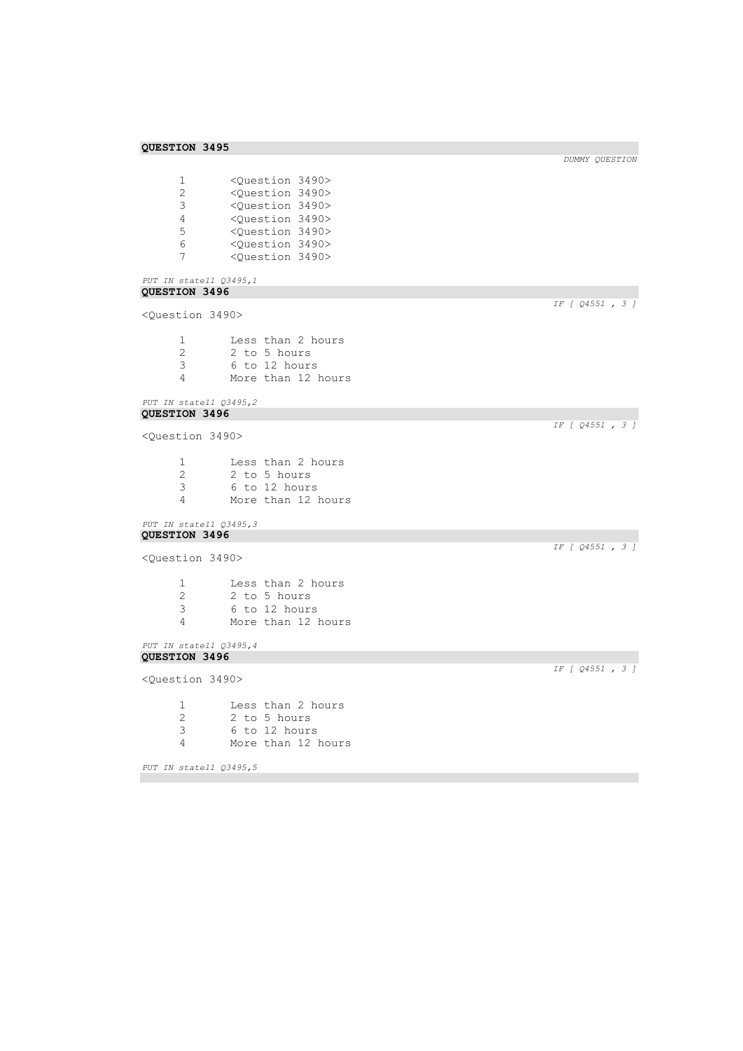1 <Question 3490><br>2 <Question 3490> 2 <Question 3490><br>3 <Question 3490> 3 <Question 3490> 4 < Question 3490><br>5 < Question 3490> 5 <Question 3490> 6 <Question 3490> 7 <Question 3490>

#### *PUT IN state11 Q3495,1*  **QUESTION 3496**

```
<Question 3490>
```

| -1 | Less than 2 hours  |
|----|--------------------|
| -2 | 2 to 5 hours       |
| -3 | 6 to 12 hours      |
| Δ  | More than 12 hours |

```
PUT IN state11 Q3495,2 
QUESTION 3496
```

```
<Question 3490>
```
- 1 Less than 2 hours<br>2 2 to 5 hours 2 2 to 5 hours<br>3 6 to 12 hours 3 6 to 12 hours More than 12 hours
- *PUT IN state11 Q3495,3*  **QUESTION 3496**

```
<Question 3490>
```

|    | Less than 2 hours  |
|----|--------------------|
| -2 | 2 to 5 hours       |
| -3 | 6 to 12 hours      |
|    | More than 12 hours |

```
PUT IN state11 Q3495,4 
QUESTION 3496
```
<Question 3490>

1 Less than 2 hours 2 2 to 5 hours<br>3 6 to 12 hours 3 6 to 12 hours More than 12 hours

```
PUT IN state11 Q3495,5
```
*IF [ Q4551 , 3 ]* 

*IF [ Q4551 , 3 ]* 

*DUMMY QUESTION* 

*IF [ Q4551 , 3 ]* 

*IF [ Q4551 , 3 ]*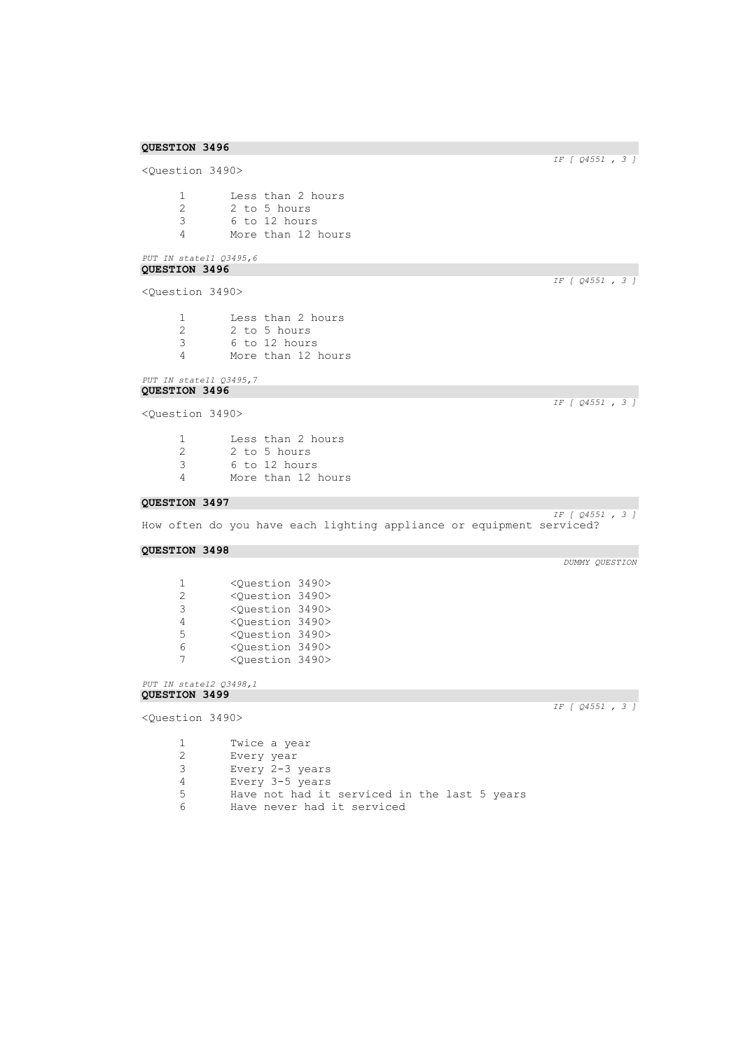<Question 3490> 1 Less than 2 hours<br>2 2 to 5 hours 2 2 to 5 hours<br>3 6 to 12 hours 3 6 to 12 hours More than 12 hours

## *PUT IN state11 Q3495,6*  **QUESTION 3496**

<Question 3490>

| -1 | Less than 2 hours  |
|----|--------------------|
| 2  | 2 to 5 hours       |
| 3  | 6 to 12 hours      |
| Δ  | More than 12 hours |
|    |                    |

#### *PUT IN state11 Q3495,7*  **QUESTION 3496**

<Question 3490>

| 1 | Less than 2 hours  |
|---|--------------------|
| 2 | 2 to 5 hours       |
| 3 | 6 to 12 hours      |
| 4 | More than 12 hours |

### **QUESTION 3497**

*IF [ Q4551 , 3 ]*  How often do you have each lighting appliance or equipment serviced?

### **QUESTION 3498**

| 1  | <ouestion 3490=""></ouestion> |  |
|----|-------------------------------|--|
| 2. | <ouestion 3490=""></ouestion> |  |
| 3  | <ouestion 3490=""></ouestion> |  |
| 4  | <question 3490=""></question> |  |
| 5. | <ouestion 3490=""></ouestion> |  |
| 6  | <ouestion 3490=""></ouestion> |  |
| 7  | <ouestion 3490=""></ouestion> |  |

*PUT IN state12 Q3498,1*  **QUESTION 3499** 

<Question 3490>

*IF [ Q4551 , 3 ]* 

| 1  | Twice a year                                 |
|----|----------------------------------------------|
| 2. | Every year                                   |
| 3  | Every 2-3 years                              |
| 4  | Every 3-5 years                              |
| 5. | Have not had it serviced in the last 5 years |
| 6  | Have never had it serviced                   |

*IF [ Q4551 , 3 ]* 

*IF [ Q4551 , 3 ]* 

*IF [ Q4551 , 3 ]*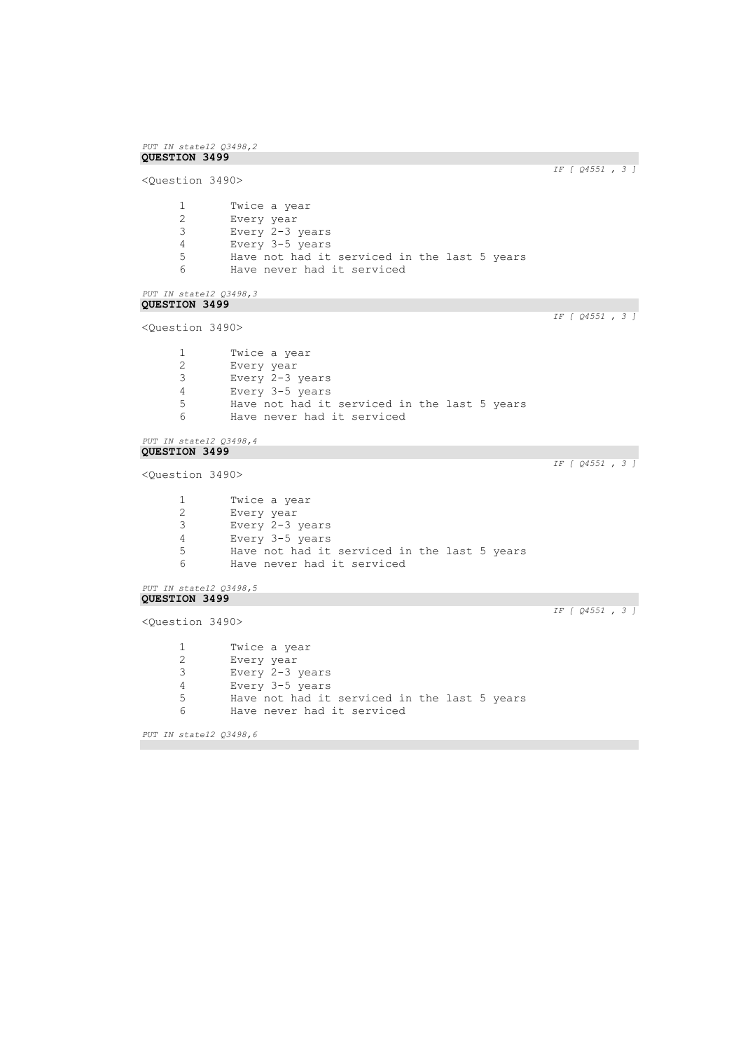```
PUT IN state12 Q3498,2 
QUESTION 3499 
                                                                    IF [ Q4551 , 3 ] 
<Question 3490>
      1 Twice a year<br>2 Every year
      2 Every year<br>3 Every 2-3
      3 Every 2-3 years
      4 Every 3-5 years
      5 Have not had it serviced in the last 5 years<br>6 Have never had it serviced
              Have never had it serviced
PUT IN state12 Q3498,3 
QUESTION 3499 
                                                                    IF [ Q4551 , 3 ] 
<Question 3490>
      1 Twice a year<br>2 Every year
      2 Every year<br>3 Every 2-3
      3 Every 2-3 years
      4 Every 3-5 years
      5 Have not had it serviced in the last 5 years<br>6 Have never had it serviced
              Have never had it serviced
PUT IN state12 Q3498,4 
QUESTION 3499 
                                                                    IF [ Q4551 , 3 ] 
<Question 3490>
      1 Twice a year<br>2 Every year
      2 Every year
      3 Every 2-3 years
      4 Every 3-5 years
      5 Have not had it serviced in the last 5 years
      6 Have never had it serviced
PUT IN state12 Q3498,5 
QUESTION 3499 
                                                                    IF [ Q4551 , 3 ] 
<Question 3490>
      1 Twice a year
      2 Every year
      3 Every 2-3 years
      4 Every 3-5 years
      5 Have not had it serviced in the last 5 years
      6 Have never had it serviced
PUT IN state12 Q3498,6
```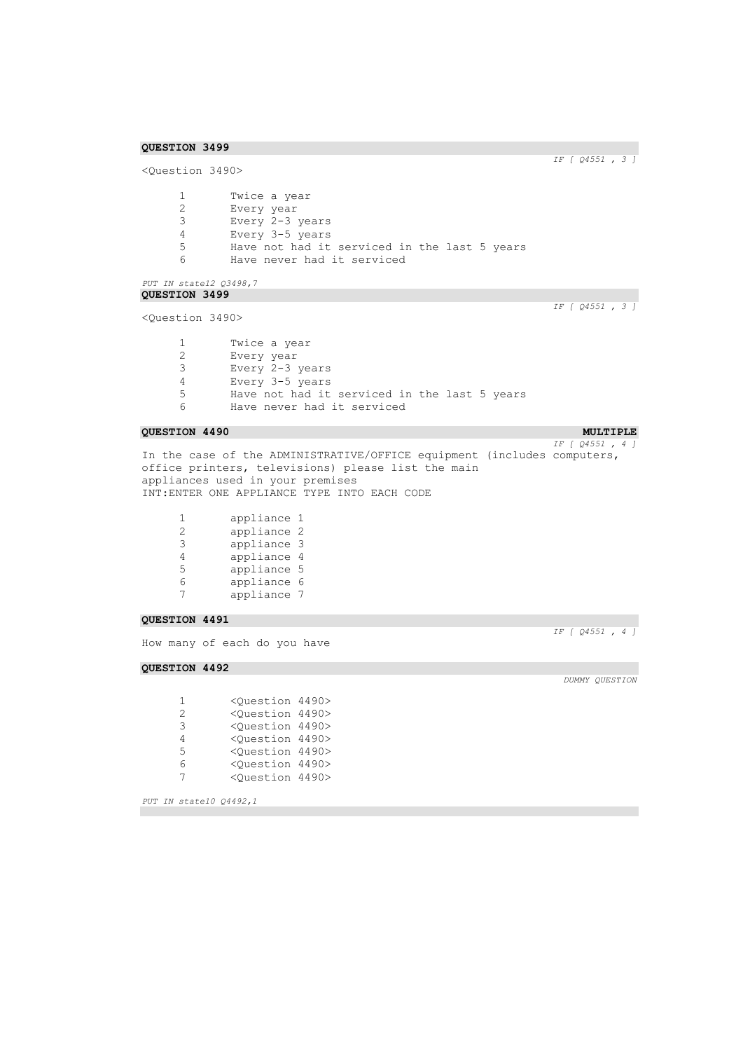*IF [ Q4551 , 3 ]* 

```
<Question 3490>
      1 Twice a year<br>2 Every year
       2 Every year
       3 Every 2-3 years
      4 Every 3-5 years<br>5 Have not had it
      5 Have not had it serviced in the last 5 years<br>6 Have never had it serviced
               Have never had it serviced
```

```
PUT IN state12 Q3498,7 
QUESTION 3499
```
<Question 3490>

*IF [ Q4551 , 3 ]* 

| 1  | Twice a year                                 |
|----|----------------------------------------------|
| 2  | Every year                                   |
| 3. | Every 2-3 years                              |
| 4  | Every 3-5 years                              |
| 5  | Have not had it serviced in the last 5 years |
| 6  | Have never had it serviced                   |
|    |                                              |

## **QUESTION 4490 MULTIPLE MULTIPLE**

*IF [ Q4551 , 4 ]*  In the case of the ADMINISTRATIVE/OFFICE equipment (includes computers, office printers, televisions) please list the main appliances used in your premises INT:ENTER ONE APPLIANCE TYPE INTO EACH CODE

| 1 | appliance 1 |   |
|---|-------------|---|
| 2 | appliance 2 |   |
| 3 | appliance 3 |   |
| 4 | appliance 4 |   |
| 5 | appliance 5 |   |
| 6 | appliance   | 6 |
|   | appliance 7 |   |

#### **QUESTION 4491**

How many of each do you have

## **QUESTION 4492**

| 1.            | <ouestion 4490=""></ouestion> |  |
|---------------|-------------------------------|--|
| $\mathcal{L}$ | <ouestion 4490=""></ouestion> |  |
| 3             | <ouestion 4490=""></ouestion> |  |
| 4             | <ouestion 4490=""></ouestion> |  |
| 5             | <ouestion 4490=""></ouestion> |  |
| ี             | <ouestion 4490=""></ouestion> |  |
| 7             | <ouestion 4490=""></ouestion> |  |

*PUT IN state10 Q4492,1* 

*IF [ Q4551 , 4 ]*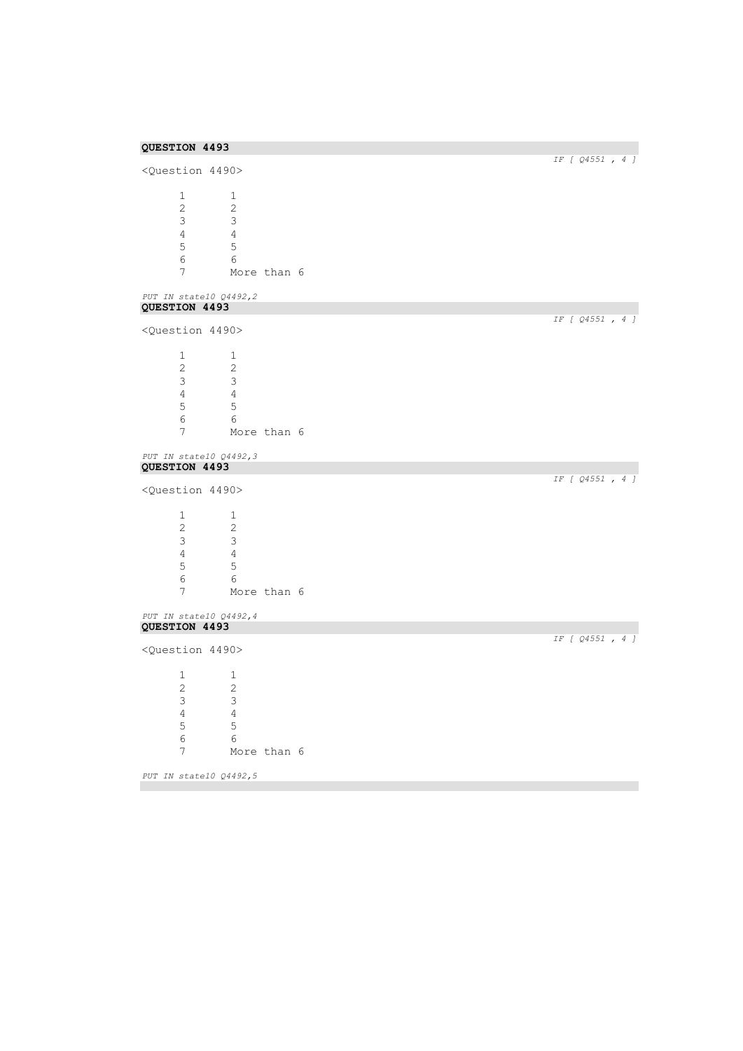| <question 4490=""></question> |                           |             |                 |
|-------------------------------|---------------------------|-------------|-----------------|
|                               |                           |             |                 |
| $\mathbf{1}$                  | 1                         |             |                 |
| 2                             | 2                         |             |                 |
| $\mathfrak{Z}$                | 3                         |             |                 |
| $\overline{4}$                | $\overline{4}$            |             |                 |
| 5                             | $\overline{5}$            |             |                 |
| $\epsilon$                    | 6                         |             |                 |
| 7                             |                           | More than 6 |                 |
| PUT IN state10 Q4492,2        |                           |             |                 |
| QUESTION 4493                 |                           |             |                 |
| <question 4490=""></question> |                           |             | IF [ 04551, 4 ] |
| $\mathbf{1}$                  | 1                         |             |                 |
| $\mathbf{2}$                  | 2                         |             |                 |
|                               |                           |             |                 |
| 3                             | 3                         |             |                 |
| $\overline{4}$                | $\overline{4}$            |             |                 |
| 5                             | 5                         |             |                 |
| 6                             | 6                         |             |                 |
| $\overline{7}$                |                           | More than 6 |                 |
| PUT IN state10 Q4492,3        |                           |             |                 |
| QUESTION 4493                 |                           |             | IF [ Q4551, 4 ] |
| <question 4490=""></question> |                           |             |                 |
| $\mathbf{1}$                  | 1                         |             |                 |
| $\overline{2}$                | 2                         |             |                 |
| 3                             | $\mathcal{S}$             |             |                 |
| $\overline{4}$                | $\overline{4}$            |             |                 |
|                               |                           |             |                 |
| $\mathsf S$                   | $\mathsf S$               |             |                 |
| 6                             | 6                         |             |                 |
| 7                             |                           | More than 6 |                 |
| PUT IN state10 Q4492,4        |                           |             |                 |
| QUESTION 4493                 |                           |             | IF [ Q4551, 4 ] |
| <question 4490=""></question> |                           |             |                 |
| $\mathbf 1$                   | $\mathbf{1}$              |             |                 |
| 2                             | $\mathbf{2}$              |             |                 |
| 3                             | $\ensuremath{\mathsf{3}}$ |             |                 |
| $\overline{4}$                | $\sqrt{4}$                |             |                 |
| 5                             | $\mathsf S$               |             |                 |
| $\epsilon$                    | $\sqrt{6}$                |             |                 |
|                               |                           | More than 6 |                 |
| $7\overline{ }$               |                           |             |                 |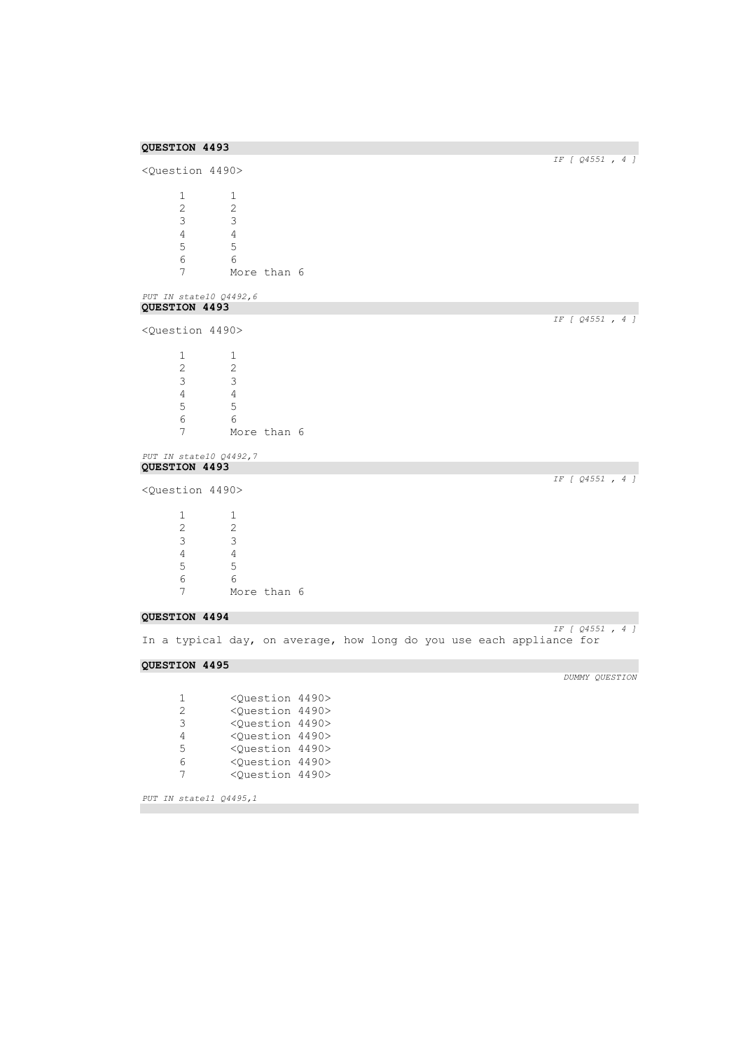| QUESTION 4493                                                                     |                                                                  |                                                                                                   |  |                                                                      |
|-----------------------------------------------------------------------------------|------------------------------------------------------------------|---------------------------------------------------------------------------------------------------|--|----------------------------------------------------------------------|
| <question 4490=""></question>                                                     |                                                                  |                                                                                                   |  | $IF$ [ $Q4551$ , 4 ]                                                 |
| 1<br>$\overline{c}$<br>3<br>4<br>5<br>6<br>7<br>PUT IN state10 Q4492,6            | 1<br>2<br>3<br>$\overline{4}$<br>5<br>6<br>More than 6           |                                                                                                   |  |                                                                      |
| QUESTION 4493                                                                     |                                                                  |                                                                                                   |  |                                                                      |
| <question 4490=""></question>                                                     |                                                                  |                                                                                                   |  | IF [ Q4551, 4 ]                                                      |
| $\mathbf{1}$<br>$\overline{2}$<br>$\mathfrak{Z}$<br>$\overline{4}$<br>5<br>6<br>7 | 1<br>2<br>$\mathsf 3$<br>$\overline{4}$<br>5<br>6<br>More than 6 |                                                                                                   |  |                                                                      |
| PUT IN state10 Q4492,7                                                            |                                                                  |                                                                                                   |  |                                                                      |
| QUESTION 4493                                                                     |                                                                  |                                                                                                   |  |                                                                      |
| <question 4490=""></question>                                                     |                                                                  |                                                                                                   |  | IF [ Q4551, 4 ]                                                      |
| $\mathbf{1}$<br>$\mathbf{2}$<br>3<br>$\overline{4}$<br>5<br>6<br>7                | 1<br>2<br>3<br>$\overline{4}$<br>5<br>6<br>More than 6           |                                                                                                   |  |                                                                      |
| QUESTION 4494                                                                     |                                                                  |                                                                                                   |  | IF [ Q4551, 4 ]                                                      |
|                                                                                   |                                                                  |                                                                                                   |  | In a typical day, on average, how long do you use each appliance for |
| QUESTION 4495                                                                     |                                                                  |                                                                                                   |  |                                                                      |
|                                                                                   |                                                                  |                                                                                                   |  | DUMMY QUESTION                                                       |
| 1<br>2<br>3                                                                       |                                                                  | <question 4490=""><br/><question 4490=""><br/><question 4490=""></question></question></question> |  |                                                                      |

<Question 4490>

 <Question 4490> <Question 4490> <Question 4490>

*PUT IN state11 Q4495,1*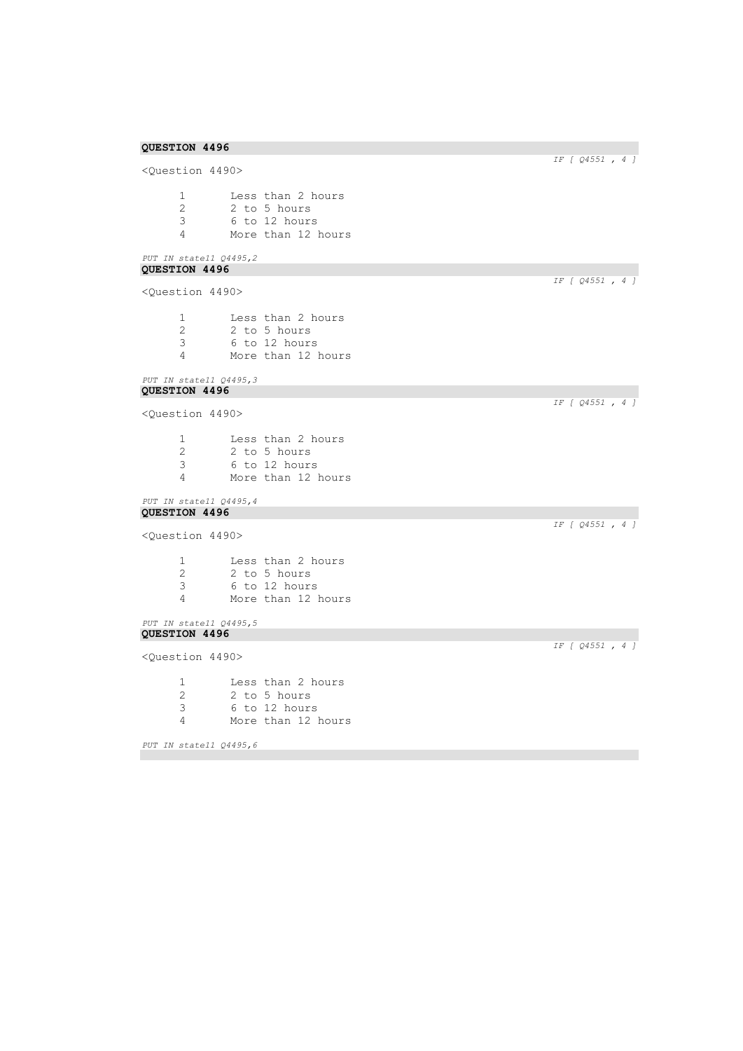<Question 4490> 1 Less than 2 hours<br>2 2 to 5 hours 2 2 to 5 hours<br>3 6 to 12 hours 3 6 to 12 hours 4 More than 12 hours

## *PUT IN state11 Q4495,2*  **QUESTION 4496**

<Question 4490>

| Less than 2 hours  |
|--------------------|
| 2 to 5 hours       |
| 6 to 12 hours      |
| More than 12 hours |
|                    |

#### *PUT IN state11 Q4495,3*  **QUESTION 4496**

<Question 4490>

1 Less than 2 hours 2 2 to 5 hours<br>3 6 to 12 hours 3 6 to 12 hours More than 12 hours

#### *PUT IN state11 Q4495,4*  **QUESTION 4496**

```
<Question 4490>
```
 Less than 2 hours 2 2 to 5 hours<br>3 6 to 12 hours 6 to 12 hours More than 12 hours

```
PUT IN state11 Q4495,5 
QUESTION 4496
```
<Question 4490>

1 Less than 2 hours<br>2 2 to 5 hours 2 2 to 5 hours<br>3 6 to 12 hours 3 6 to 12 hours 4 More than 12 hours

*PUT IN state11 Q4495,6* 

## *IF [ Q4551 , 4 ]*

*IF [ Q4551 , 4 ]* 

*IF [ Q4551 , 4 ]* 

*IF [ Q4551 , 4 ]* 

*IF [ Q4551 , 4 ]*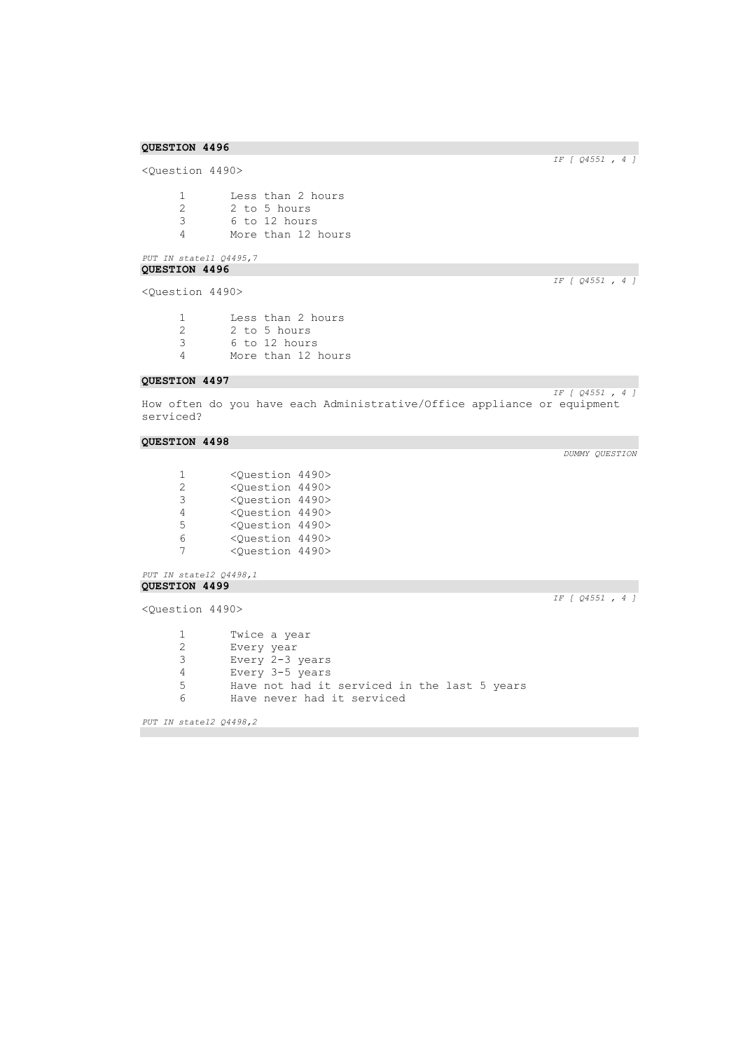<Question 4490> 1 Less than 2 hours<br>2 2 to 5 hours 2 2 to 5 hours<br>3 6 to 12 hours 3 6 to 12 hours

4 More than 12 hours

## *PUT IN state11 Q4495,7*  **QUESTION 4496**

<Question 4490>

| -1 | Less than 2 hours  |
|----|--------------------|
| -2 | 2 to 5 hours       |
| 3  | 6 to 12 hours      |
| Δ  | More than 12 hours |

## **QUESTION 4497**

*IF [ Q4551 , 4 ]*  How often do you have each Administrative/Office appliance or equipment serviced?

### **QUESTION 4498**

| 1             | <ouestion 4490=""></ouestion> |  |
|---------------|-------------------------------|--|
| $\mathcal{L}$ | <ouestion 4490=""></ouestion> |  |
| २             | <ouestion 4490=""></ouestion> |  |
| 4             | <ouestion 4490=""></ouestion> |  |
| 5.            | <ouestion 4490=""></ouestion> |  |
| 6             | <ouestion 4490=""></ouestion> |  |
| 7             | <ouestion 4490=""></ouestion> |  |

*PUT IN state12 Q4498,1*  **QUESTION 4499** 

<Question 4490>

*IF [ Q4551 , 4 ]* 

```
1 Twice a year<br>2 Every year
     Every year
3 Every 2-3 years
4 Every 3-5 years
5 Have not had it serviced in the last 5 years
6 Have never had it serviced
```
*PUT IN state12 Q4498,2* 

*IF [ Q4551 , 4 ]* 

*IF [ Q4551 , 4 ]*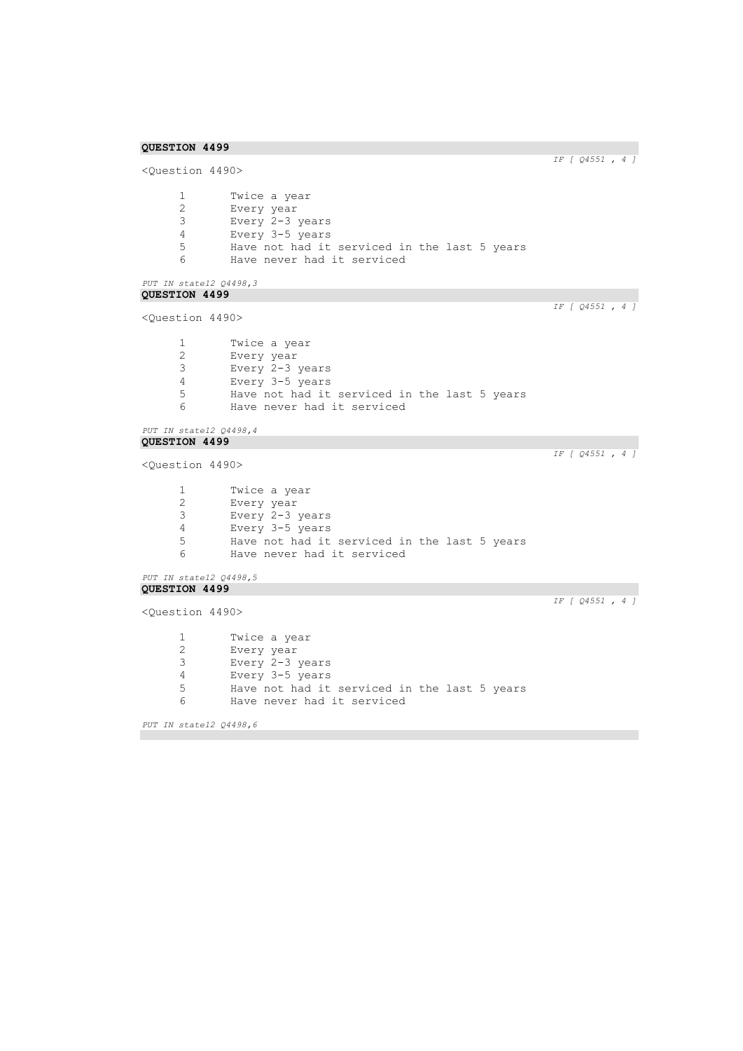```
IF [ Q4551 , 4 ] 
<Question 4490>
      1 Twice a year<br>2 Every year
       2 Every year
       3 Every 2-3 years
      4 Every 3-5 years<br>5 Have not had it
      5 Have not had it serviced in the last 5 years<br>6 Have never had it serviced
               Have never had it serviced
PUT IN state12 Q4498,3 
QUESTION 4499 
                                                                         IF [ Q4551 , 4 ] 
<Question 4490>
      1 Twice a year<br>2 Every year
       2 Every year
       3 Every 2-3 years
      4 Every 3-5 years
      5 Have not had it serviced in the last 5 years<br>6 Have never had it serviced
               Have never had it serviced
PUT IN state12 Q4498,4 
QUESTION 4499 
                                                                         IF [ Q4551 , 4 ] 
<Question 4490>
      1 Twice a year<br>2 Every year
               Every year
      3 Every 2-3 years
      4 Every 3-5 years
      5 Have not had it serviced in the last 5 years<br>6 Have never had it serviced
               Have never had it serviced
PUT IN state12 Q4498,5 
QUESTION 4499 
                                                                         IF [ Q4551 , 4 ] 
<Question 4490>
      1 Twice a year<br>2 Every year
      2 Every year<br>3 Every 2-3
               Every 2-3 years
      4 Every 3-5 years<br>5 Have not had it
               Have not had it serviced in the last 5 years
      6 Have never had it serviced
```
*PUT IN state12 Q4498,6*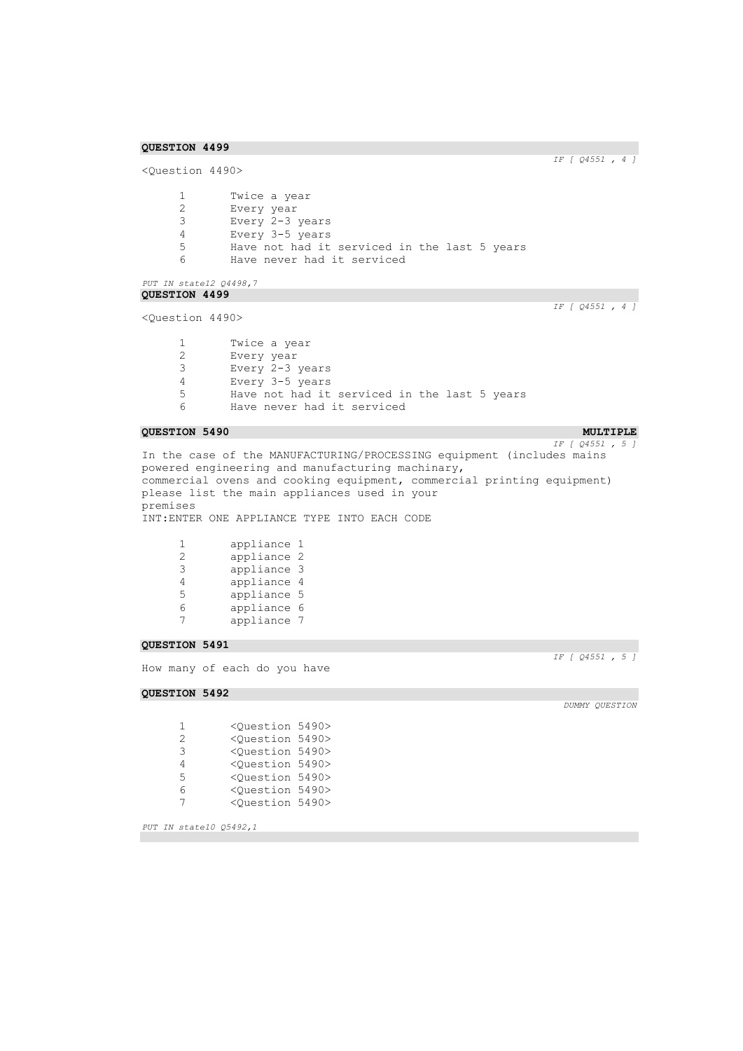*IF [ Q4551 , 4 ]* 

```
<Question 4490>
      1 Twice a year<br>2 Every year
       2 Every year
       3 Every 2-3 years
      4 Every 3-5 years<br>5 Have not had it
      5 Have not had it serviced in the last 5 years<br>6 Have never had it serviced
                Have never had it serviced
```
*PUT IN state12 Q4498,7*  **QUESTION 4499** 

<Question 4490>

*IF [ Q4551 , 4 ]* 

1 Twice a year<br>2 Every year Every year Every 2-3 years Every 3-5 years Have not had it serviced in the last 5 years Have never had it serviced

#### **QUESTION 5490** MULTIPLE **MULTIPLE**

*IF [ Q4551 , 5 ]*  In the case of the MANUFACTURING/PROCESSING equipment (includes mains powered engineering and manufacturing machinary, commercial ovens and cooking equipment, commercial printing equipment) please list the main appliances used in your premises INT:ENTER ONE APPLIANCE TYPE INTO EACH CODE

| 1             | appliance 1 |   |
|---------------|-------------|---|
| $\mathcal{D}$ | appliance 2 |   |
| 3             | appliance 3 |   |
| 4             | appliance 4 |   |
| 5             | appliance 5 |   |
| 6             | appliance   | 6 |
| 7             | appliance 7 |   |

#### **QUESTION 5491**

How many of each do you have

**QUESTION 5492** 

*IF [ Q4551 , 5 ]* 

 <Question 5490> <Question 5490> <Question 5490> <Question 5490> <Question 5490> <Question 5490> <Question 5490>

*PUT IN state10 Q5492,1*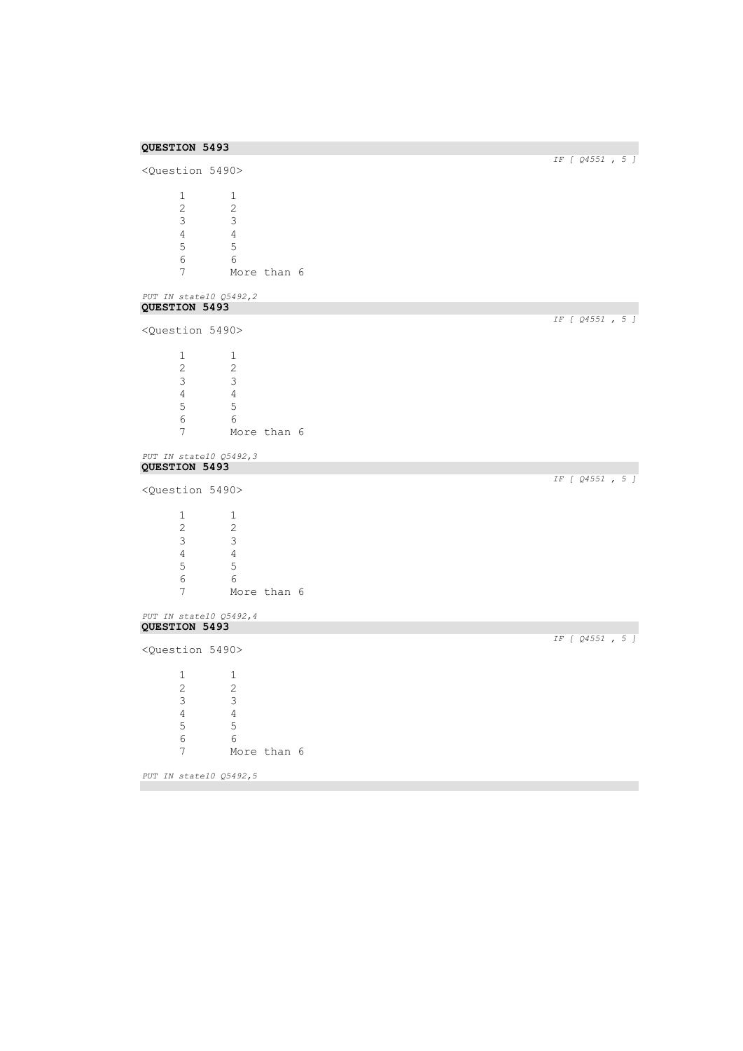|                               | <question 5490=""></question> |             | IF [ Q4551, 5 ]  |
|-------------------------------|-------------------------------|-------------|------------------|
|                               |                               |             |                  |
| $\mathbf{1}$                  | 1                             |             |                  |
| $\mathbf{2}$                  | 2                             |             |                  |
| $\mathsf 3$                   | 3                             |             |                  |
| $\overline{4}$                | $\overline{4}$                |             |                  |
| 5                             | $\mathsf S$                   |             |                  |
| $\epsilon$                    | $\sqrt{6}$                    |             |                  |
| 7                             |                               | More than 6 |                  |
|                               | PUT IN state10 Q5492,2        |             |                  |
| QUESTION 5493                 |                               |             |                  |
|                               | <question 5490=""></question> |             | IF [ 04551, 5 ]  |
| $\mathbf{1}$                  | 1                             |             |                  |
| $\mathbf{2}$                  | 2                             |             |                  |
| 3                             | 3                             |             |                  |
| $\overline{4}$                | $\overline{4}$                |             |                  |
| 5                             | 5                             |             |                  |
| 6                             | 6                             |             |                  |
| $\boldsymbol{7}$              |                               | More than 6 |                  |
|                               |                               |             |                  |
|                               | PUT IN state10 Q5492,3        |             |                  |
| QUESTION 5493                 |                               |             | IF [ Q4551 , 5 ] |
|                               | <question 5490=""></question> |             |                  |
| $\mathbf{1}$                  | 1                             |             |                  |
| 2                             | 2                             |             |                  |
| 3                             | 3                             |             |                  |
| $\overline{4}$                | $\overline{4}$                |             |                  |
| $\mathsf S$                   |                               |             |                  |
|                               | $\mathsf S$<br>6              |             |                  |
| 6<br>7                        |                               |             |                  |
|                               |                               | More than 6 |                  |
|                               | PUT IN state10 Q5492,4        |             |                  |
|                               |                               |             |                  |
| QUESTION 5493                 |                               |             |                  |
|                               | <question 5490=""></question> |             |                  |
| 1                             | $\mathbf{1}$                  |             |                  |
| $\overline{c}$                | $\mathbf{2}$                  |             |                  |
|                               |                               |             |                  |
| $\mathsf 3$                   | $\ensuremath{\mathsf{3}}$     |             | IF [ Q4551 , 5 ] |
| $\sqrt{4}$                    | $\sqrt{4}$                    |             |                  |
| 5                             | $\mathsf S$                   |             |                  |
| $\epsilon$<br>$7\overline{ }$ | $\sqrt{6}$                    | More than 6 |                  |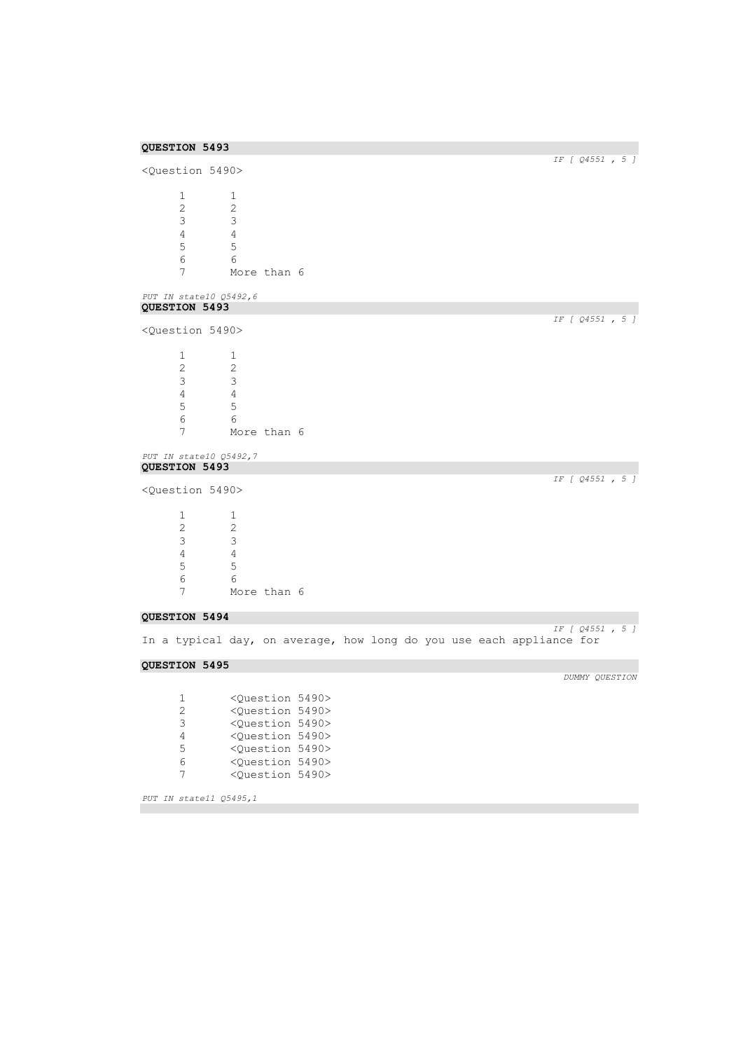| QUESTION 5493                           |                |                               |  |                                                                      |
|-----------------------------------------|----------------|-------------------------------|--|----------------------------------------------------------------------|
|                                         |                |                               |  | IF [ Q4551 , 5 ]                                                     |
| <question 5490=""></question>           |                |                               |  |                                                                      |
| 1                                       | 1              |                               |  |                                                                      |
| $\mathbf{2}$                            | 2              |                               |  |                                                                      |
| 3                                       | 3              |                               |  |                                                                      |
| $\overline{4}$                          | $\overline{4}$ |                               |  |                                                                      |
| 5                                       | $\mathsf S$    |                               |  |                                                                      |
| 6                                       | 6              |                               |  |                                                                      |
| 7                                       | More than 6    |                               |  |                                                                      |
| PUT IN state10 Q5492,6                  |                |                               |  |                                                                      |
| QUESTION 5493                           |                |                               |  |                                                                      |
| <question 5490=""></question>           |                |                               |  | IF [ Q4551 , 5 ]                                                     |
| $\mathbf{1}$                            | 1              |                               |  |                                                                      |
| $\mathbf{2}$                            | $\mathbf{2}$   |                               |  |                                                                      |
| 3                                       | 3              |                               |  |                                                                      |
| $\overline{4}$                          | $\overline{4}$ |                               |  |                                                                      |
| 5                                       | 5              |                               |  |                                                                      |
| 6                                       | 6              |                               |  |                                                                      |
| 7                                       | More than 6    |                               |  |                                                                      |
|                                         |                |                               |  |                                                                      |
| PUT IN state10 Q5492,7<br>QUESTION 5493 |                |                               |  |                                                                      |
|                                         |                |                               |  | IF [ Q4551, 5 ]                                                      |
| <question 5490=""></question>           |                |                               |  |                                                                      |
| $\mathbf{1}$                            | 1              |                               |  |                                                                      |
| $\mathbf{2}$                            | 2              |                               |  |                                                                      |
| 3                                       | 3              |                               |  |                                                                      |
| $\overline{4}$                          | $\overline{4}$ |                               |  |                                                                      |
| 5                                       | 5              |                               |  |                                                                      |
| 6                                       | 6              |                               |  |                                                                      |
| 7                                       | More than 6    |                               |  |                                                                      |
| QUESTION 5494                           |                |                               |  | $IF$ [ $Q4551$ , 5 ]                                                 |
|                                         |                |                               |  | In a typical day, on average, how long do you use each appliance for |
| QUESTION 5495                           |                |                               |  |                                                                      |
|                                         |                |                               |  | DUMMY QUESTION                                                       |
| 1                                       |                | <question 5490=""></question> |  |                                                                      |
| 2                                       |                | <question 5490=""></question> |  |                                                                      |
| 3                                       |                | <question 5490=""></question> |  |                                                                      |
| 4                                       |                | <question 5490=""></question> |  |                                                                      |

*PUT IN state11 Q5495,1* 

 <Question 5490> <Question 5490> <Question 5490>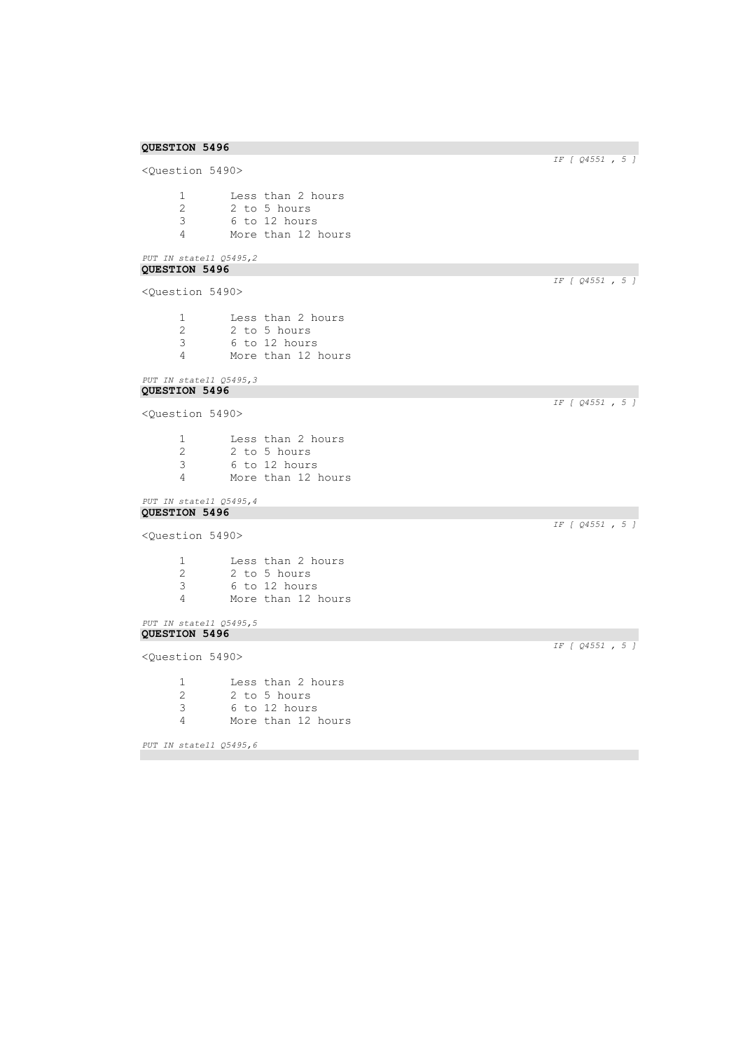<Question 5490> 1 Less than 2 hours<br>2 2 to 5 hours 2 2 to 5 hours<br>3 6 to 12 hours 3 6 to 12 hours 4 More than 12 hours

## *PUT IN state11 Q5495,2*  **QUESTION 5496**

<Question 5490>

| -1 | Less than 2 hours  |
|----|--------------------|
| 2  | 2 to 5 hours       |
| 3  | 6 to 12 hours      |
| Δ  | More than 12 hours |

#### *PUT IN state11 Q5495,3*  **QUESTION 5496**

<Question 5490>

1 Less than 2 hours 2 2 to 5 hours<br>3 6 to 12 hours 3 6 to 12 hours More than 12 hours

#### *PUT IN state11 Q5495,4*  **QUESTION 5496**

```
<Question 5490>
```

|    | Less than 2 hours  |
|----|--------------------|
| -2 | 2 to 5 hours       |
| -3 | 6 to 12 hours      |
|    | More than 12 hours |

```
PUT IN state11 Q5495,5 
QUESTION 5496
```
<Question 5490>

1 Less than 2 hours<br>2 2 to 5 hours 2 2 to 5 hours<br>3 6 to 12 hours 3 6 to 12 hours 4 More than 12 hours

*PUT IN state11 Q5495,6* 

# *IF [ Q4551 , 5 ]*

*IF [ Q4551 , 5 ]* 

*IF [ Q4551 , 5 ]* 

*IF [ Q4551 , 5 ]* 

*IF [ Q4551 , 5 ]*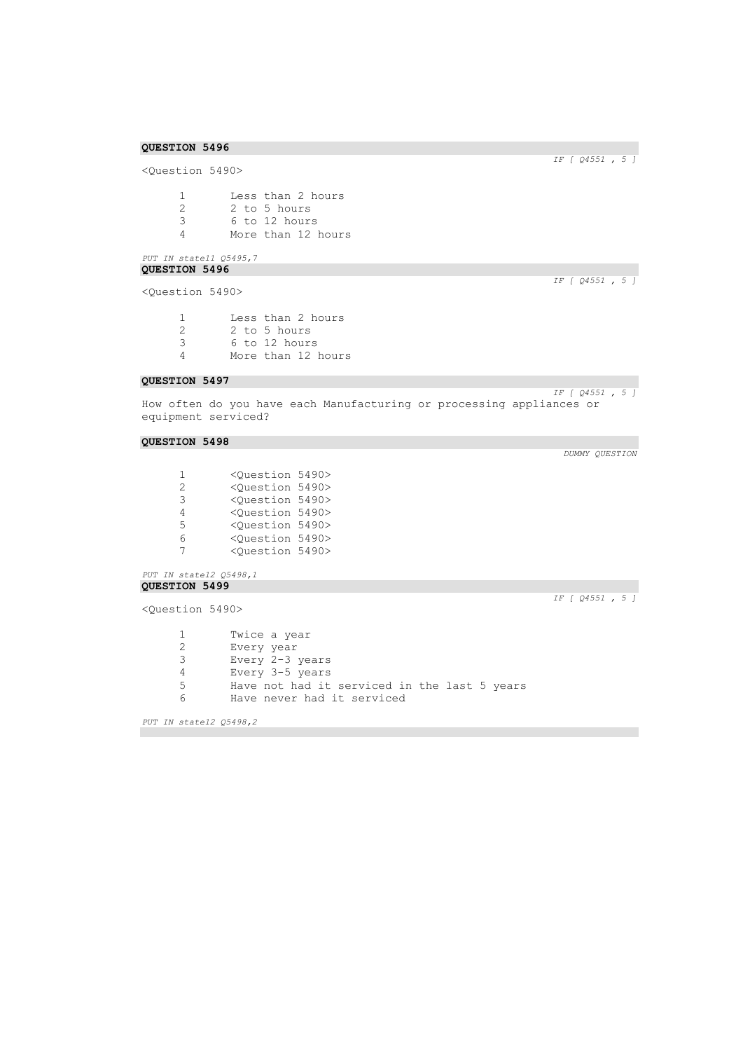<Question 5490>

1 Less than 2 hours<br>2 2 to 5 hours 2 2 to 5 hours<br>3 6 to 12 hours 3 6 to 12 hours 4 More than 12 hours

## *PUT IN state11 Q5495,7*  **QUESTION 5496**

<Question 5490>

| п. | Less than 2 hours  |
|----|--------------------|
| 2  | 2 to 5 hours       |
| -3 | 6 to 12 hours      |
| Δ  | More than 12 hours |

## **QUESTION 5497**

How often do you have each Manufacturing or processing appliances or equipment serviced?

### **QUESTION 5498**

| 1             | <ouestion 5490=""></ouestion> |  |
|---------------|-------------------------------|--|
| $\mathcal{L}$ | <ouestion 5490=""></ouestion> |  |
| २             | <ouestion 5490=""></ouestion> |  |
| 4             | <ouestion 5490=""></ouestion> |  |
| 5.            | <ouestion 5490=""></ouestion> |  |
| 6             | <ouestion 5490=""></ouestion> |  |
| 7             | <question 5490=""></question> |  |

*PUT IN state12 Q5498,1*  **QUESTION 5499** 

<Question 5490>

*IF [ Q4551 , 5 ]* 

1 Twice a year<br>2 Every year Every year Every 2-3 years Every 3-5 years Have not had it serviced in the last 5 years Have never had it serviced

*PUT IN state12 Q5498,2* 

*IF [ Q4551 , 5 ]* 

*IF [ Q4551 , 5 ]* 

*IF [ Q4551 , 5 ]*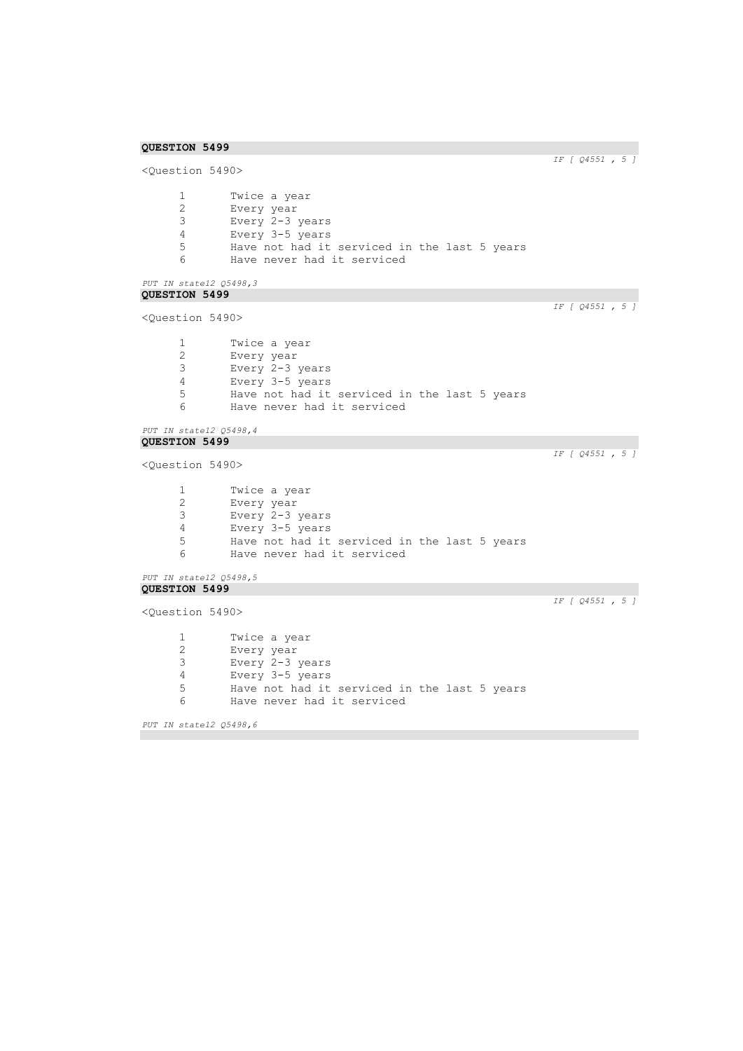```
IF [ Q4551 , 5 ] 
<Question 5490>
      1 Twice a year<br>2 Every year
       2 Every year
       3 Every 2-3 years
      4 Every 3-5 years<br>5 Have not had it
      5 Have not had it serviced in the last 5 years<br>6 Have never had it serviced
               Have never had it serviced
PUT IN state12 Q5498,3 
QUESTION 5499 
                                                                         IF [ Q4551 , 5 ] 
<Question 5490>
      1 Twice a year<br>2 Every year
       2 Every year
       3 Every 2-3 years
      4 Every 3-5 years
      5 Have not had it serviced in the last 5 years<br>6 Have never had it serviced
               Have never had it serviced
PUT IN state12 Q5498,4 
QUESTION 5499 
                                                                         IF [ Q4551 , 5 ] 
<Question 5490>
      1 Twice a year<br>2 Every year
               Every year
      3 Every 2-3 years
      4 Every 3-5 years
      5 Have not had it serviced in the last 5 years<br>6 Have never had it serviced
               Have never had it serviced
PUT IN state12 Q5498,5 
QUESTION 5499 
                                                                         IF [ Q4551 , 5 ] 
<Question 5490>
      1 Twice a year<br>2 Every year
      2 Every year<br>3 Every 2-3
               Every 2-3 years
      4 Every 3-5 years<br>5 Have not had it
               Have not had it serviced in the last 5 years
      6 Have never had it serviced
```
*PUT IN state12 Q5498,6*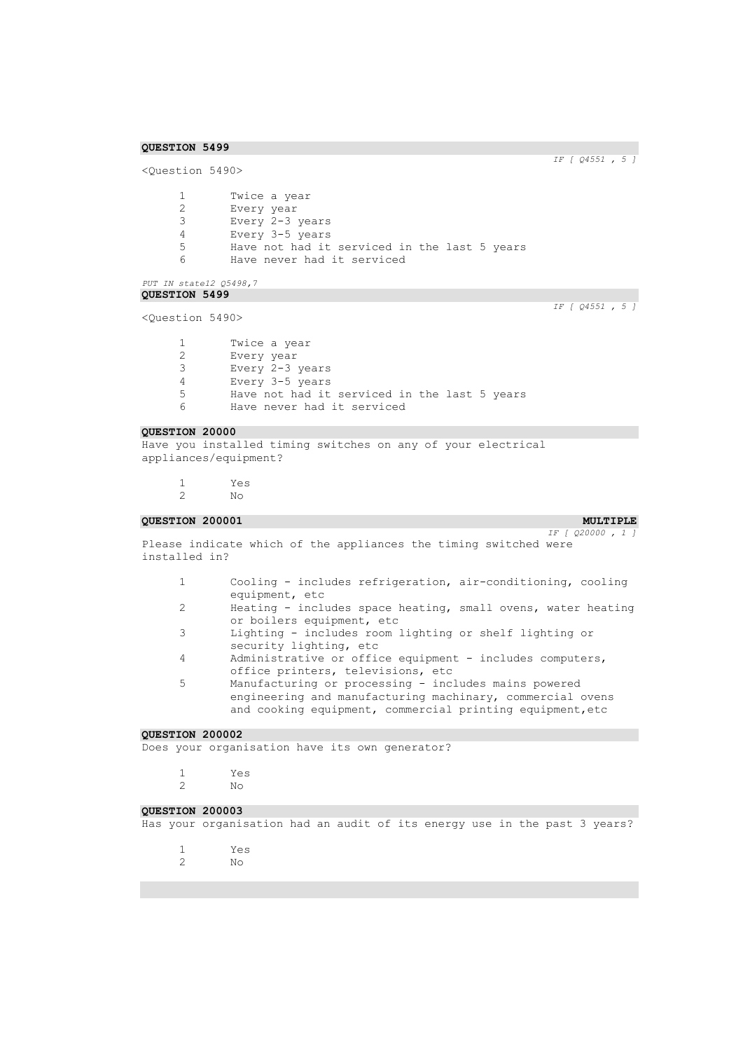*IF [ Q4551 , 5 ]* 

```
<Question 5490>
      1 Twice a year
      2 Every year
      3 Every 2-3 years
      4 Every 3-5 years<br>5 Have not had it
      5 Have not had it serviced in the last 5 years<br>6 Have never had it serviced
              Have never had it serviced
```

```
PUT IN state12 Q5498,7 
QUESTION 5499
```
<Question 5490>

*IF [ Q4551 , 5 ]* 

| 1. | Twice a year                                 |
|----|----------------------------------------------|
| 2. | Every year                                   |
| 3. | Every 2-3 years                              |
| 4  | Every 3-5 years                              |
| 5. | Have not had it serviced in the last 5 years |
| 6  | Have never had it serviced                   |
|    |                                              |

## **QUESTION 20000**

Have you installed timing switches on any of your electrical appliances/equipment?

1 Yes<br>2 No  $N<sub>O</sub>$ 

#### **QUESTION 200001 MULTIPLE**

*IF [ Q20000 , 1 ]* 

Please indicate which of the appliances the timing switched were installed in?

- 1 Cooling includes refrigeration, air-conditioning, cooling equipment, etc
- 2 Heating includes space heating, small ovens, water heating or boilers equipment, etc
- 3 Lighting includes room lighting or shelf lighting or security lighting, etc
- 4 Administrative or office equipment includes computers, office printers, televisions, etc
- 5 Manufacturing or processing includes mains powered engineering and manufacturing machinary, commercial ovens and cooking equipment, commercial printing equipment,etc

#### **QUESTION 200002**

Does your organisation have its own generator?

- 1 Yes 2 No
- 

## **QUESTION 200003**

Has your organisation had an audit of its energy use in the past 3 years?

- 1 Yes
- 2 No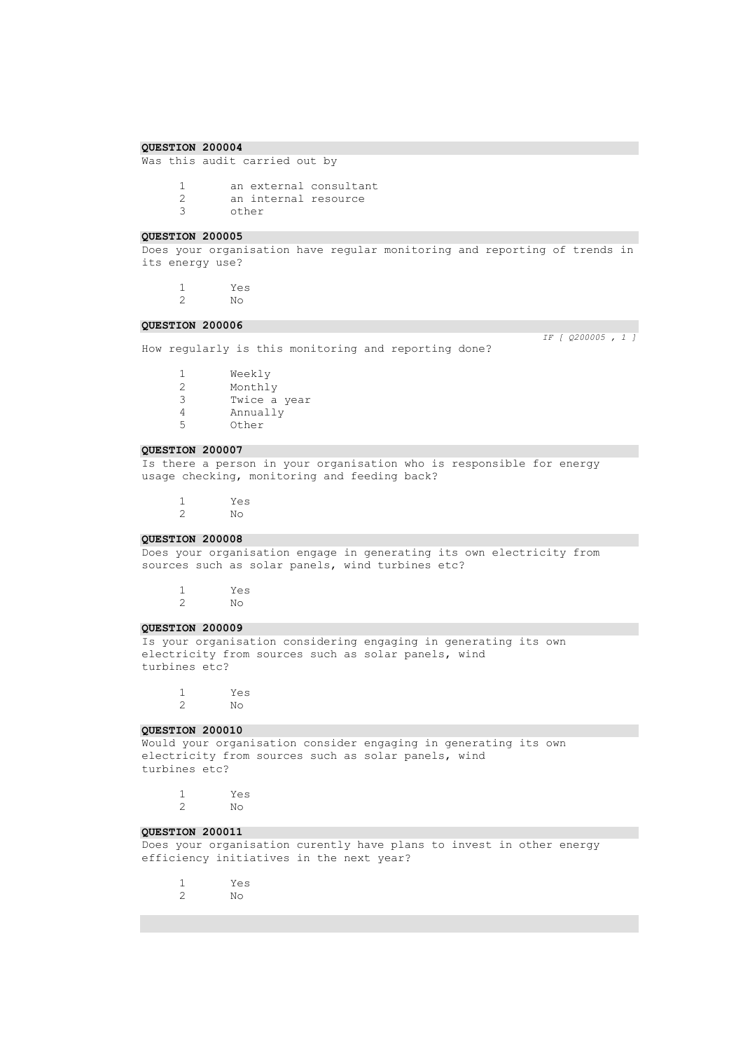```
Was this audit carried out by
```
1 an external consultant<br>2 an internal resource 2 an internal resource<br>3 other other

#### **QUESTION 200005**

Does your organisation have regular monitoring and reporting of trends in its energy use?

1 Yes 2 No

#### **QUESTION 200006**

How regularly is this monitoring and reporting done?

*IF [ Q200005 , 1 ]* 

1 Weekly<br>2 Monthl Monthly 3 Twice a year 4 Annually<br>5 Other Other

## **QUESTION 200007**

Is there a person in your organisation who is responsible for energy usage checking, monitoring and feeding back?

1 Yes 2 No

#### **QUESTION 200008**

Does your organisation engage in generating its own electricity from sources such as solar panels, wind turbines etc?

1 Yes 2 No

#### **QUESTION 200009**

Is your organisation considering engaging in generating its own electricity from sources such as solar panels, wind turbines etc?

1 Yes 2 No

## **QUESTION 200010**

Would your organisation consider engaging in generating its own electricity from sources such as solar panels, wind turbines etc?

1 Yes  $N<sub>O</sub>$ 

#### **QUESTION 200011**

Does your organisation curently have plans to invest in other energy efficiency initiatives in the next year?

- 1 Yes
- 2 No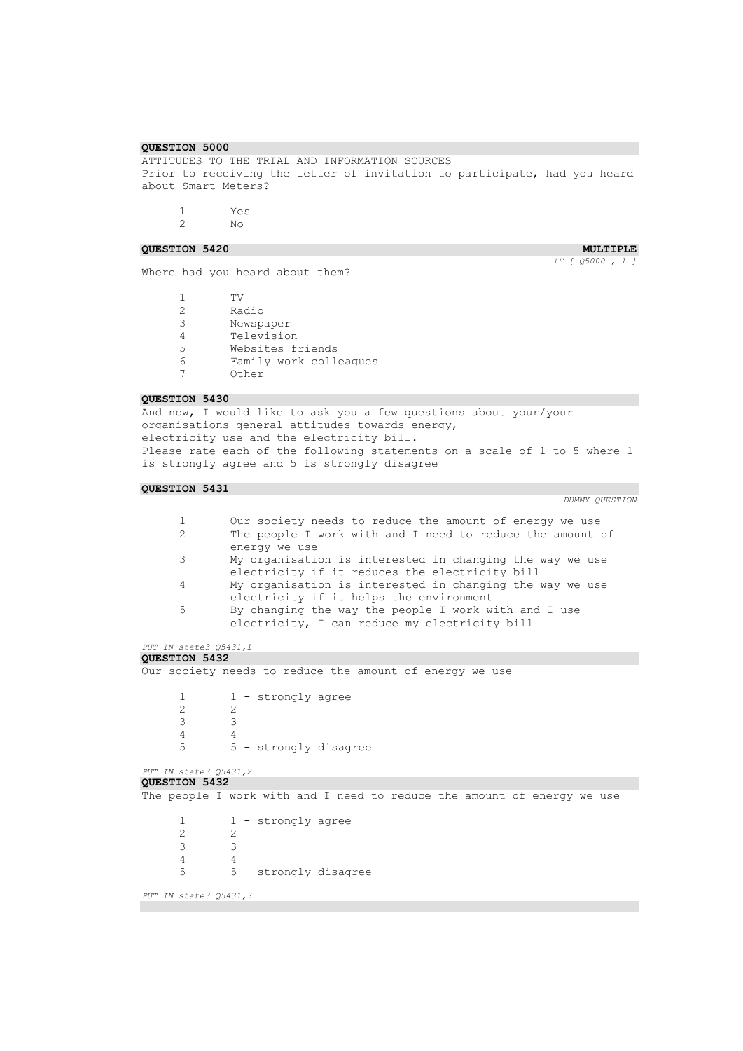ATTITUDES TO THE TRIAL AND INFORMATION SOURCES Prior to receiving the letter of invitation to participate, had you heard about Smart Meters?

1 Yes 2 No

**QUESTION 5420 MULTIPLE MULTIPLE** 

*IF [ Q5000 , 1 ]* 

Where had you heard about them?

1 TV 2 Radio<br>3 Newsp 3 Newspaper<br>4 Televisio Television 5 Websites friends<br>6 Family work coll Family work colleagues 7 Other

#### **QUESTION 5430**

And now, I would like to ask you a few questions about your/your organisations general attitudes towards energy, electricity use and the electricity bill. Please rate each of the following statements on a scale of 1 to 5 where 1 is strongly agree and 5 is strongly disagree

## **QUESTION 5431**

*DUMMY QUESTION* 

- 1 Our society needs to reduce the amount of energy we use<br>2 The people I work with and I need to reduce the amount The people I work with and I need to reduce the amount of energy we use 3 My organisation is interested in changing the way we use electricity if it reduces the electricity bill
- 4 My organisation is interested in changing the way we use electricity if it helps the environment
- 5 By changing the way the people I work with and I use electricity, I can reduce my electricity bill

*PUT IN state3 Q5431,1* 

#### **QUESTION 5432**

Our society needs to reduce the amount of energy we use

1 - strongly agree  $\begin{array}{ccc} 2 & & 2 \\ 3 & & 3 \end{array}$ 3 3 4 4 5 5 - strongly disagree

```
PUT IN state3 Q5431,2 
QUESTION 5432
```

```
The people I work with and I need to reduce the amount of energy we use
     1 1 - strongly agree
     2 2
     3 3
     \frac{4}{5}5 5 - strongly disagree
PUT IN state3 Q5431,3
```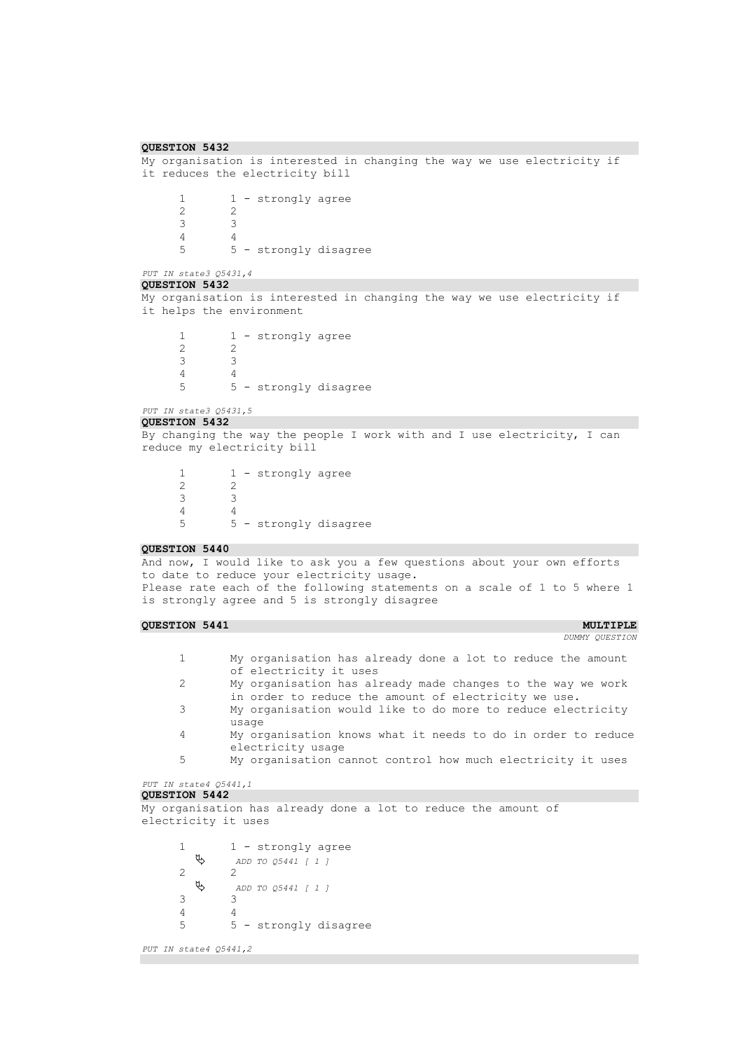```
QUESTION 5432 
My organisation is interested in changing the way we use electricity if 
it reduces the electricity bill
      1 - strongly agree
      \begin{array}{ccc} 2 & & 2 \\ 3 & & 3 \end{array}3 3
      4 4
      5 5 - strongly disagree
PUT IN state3 Q5431,4 
QUESTION 5432 
My organisation is interested in changing the way we use electricity if 
it helps the environment
      \begin{array}{ccc} 1 & 1 - \text{strongly agree} \\ 2 & 2 \end{array}2 2
      3 3
      \begin{array}{ccc} 4 & & 4 \\ 5 & & 5 \end{array}5 5 - strongly disagree
PUT IN state3 Q5431,5 
QUESTION 5432 
By changing the way the people I work with and I use electricity, I can 
reduce my electricity bill
      \begin{array}{ccc} 1 & 1 - \text{strongly agree} \\ 2 & 2 \end{array}\frac{2}{3}3 3
      4 4
      5 5 - strongly disagree
QUESTION 5440 
And now, I would like to ask you a few questions about your own efforts 
to date to reduce your electricity usage.
Please rate each of the following statements on a scale of 1 to 5 where 1 
is strongly agree and 5 is strongly disagree
QUESTION 5441 MULTIPLE MULTIPLE
                                                                        DUMMY QUESTION
```
- 1 My organisation has already done a lot to reduce the amount of electricity it uses
- 2 My organisation has already made changes to the way we work
- in order to reduce the amount of electricity we use. 3 My organisation would like to do more to reduce electricity usage
- 4 My organisation knows what it needs to do in order to reduce electricity usage
- 5 My organisation cannot control how much electricity it uses

```
PUT IN state4 Q5441,1
```
My organisation has already done a lot to reduce the amount of electricity it uses

1 - strongly agree *ADD TO Q5441 [ 1 ]*  2 2 *ADD TO Q5441 [ 1 ]*  3 3 4 4 5 5 - strongly disagree

```
PUT IN state4 Q5441,2
```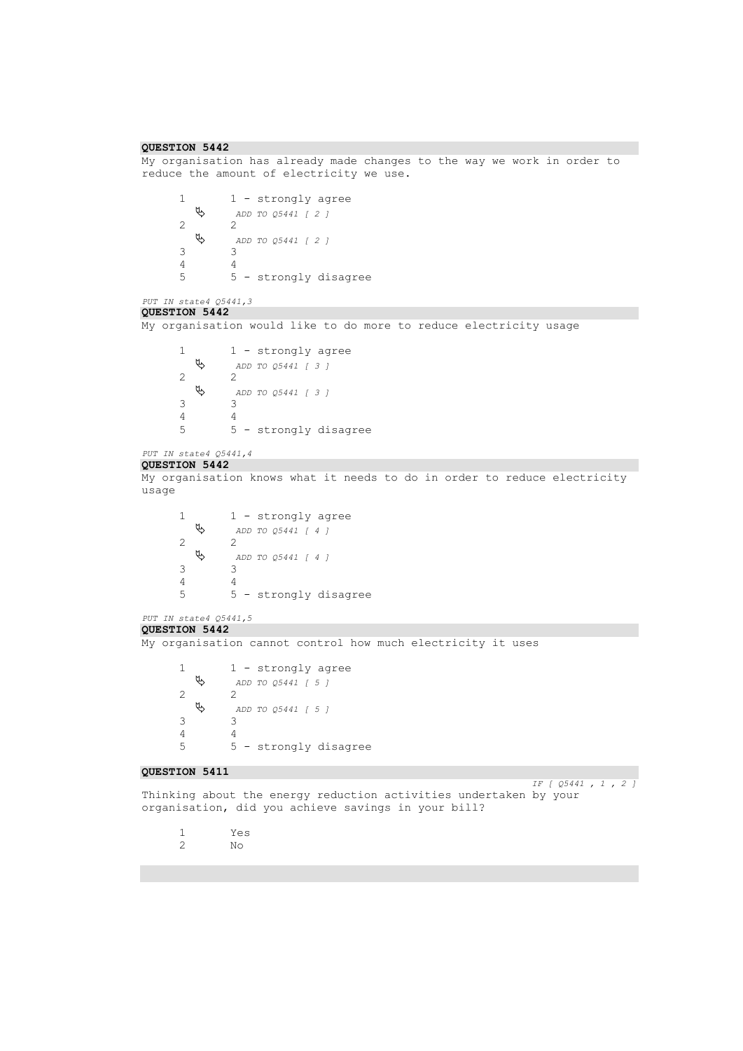```
QUESTION 5442 
My organisation has already made changes to the way we work in order to 
reduce the amount of electricity we use.
      1 1 - strongly agree<br>
\updownarrow \qquad ADD TO 05441 [2]
                 ADD TO Q5441 [ 2 ] 
      2 2\frac{2}{3} ADD TO Q5441 [ 2 ] 
      3 3
       4 4
      5 5 - strongly disagree
PUT IN state4 Q5441,3 
QUESTION 5442 
My organisation would like to do more to reduce electricity usage
      1 - strongly agree
           ADD TO Q5441 [ 3 ] 
      2 \theta 2
                  ADD TO Q5441 [ 3 ] 
      \begin{array}{ccc} 3 & & 3 \\ 4 & & 4 \end{array}\begin{array}{ccc} 4 & & 4 \\ 5 & & 5 \end{array}5 5 - strongly disagree
PUT IN state4 Q5441,4 
QUESTION 5442 
My organisation knows what it needs to do in order to reduce electricity 
usage
      1 - strongly agree
           ADD TO Q5441 [ 4 ] 
      2 2
           ADD TO Q5441 [ 4 ] 
      \begin{array}{ccc} 3 & & 3 \\ 4 & & 4 \end{array}\frac{4}{5}5 5 - strongly disagree
PUT IN state4 Q5441,5 
QUESTION 5442 
My organisation cannot control how much electricity it uses
      1 - strongly agree
           ADD TO Q5441 [ 5 ] 
      2 2
           ADD TO Q5441 [ 5 ] 
      3 3
      \begin{array}{ccc} 4 & & 4 \\ 5 & & 5 \end{array}5 5 - strongly disagree
QUESTION 5411 
                                                                        IF [ Q5441 , 1 , 2 ] 
Thinking about the energy reduction activities undertaken by your
```
1 Yes  $N<sub>O</sub>$ 

organisation, did you achieve savings in your bill?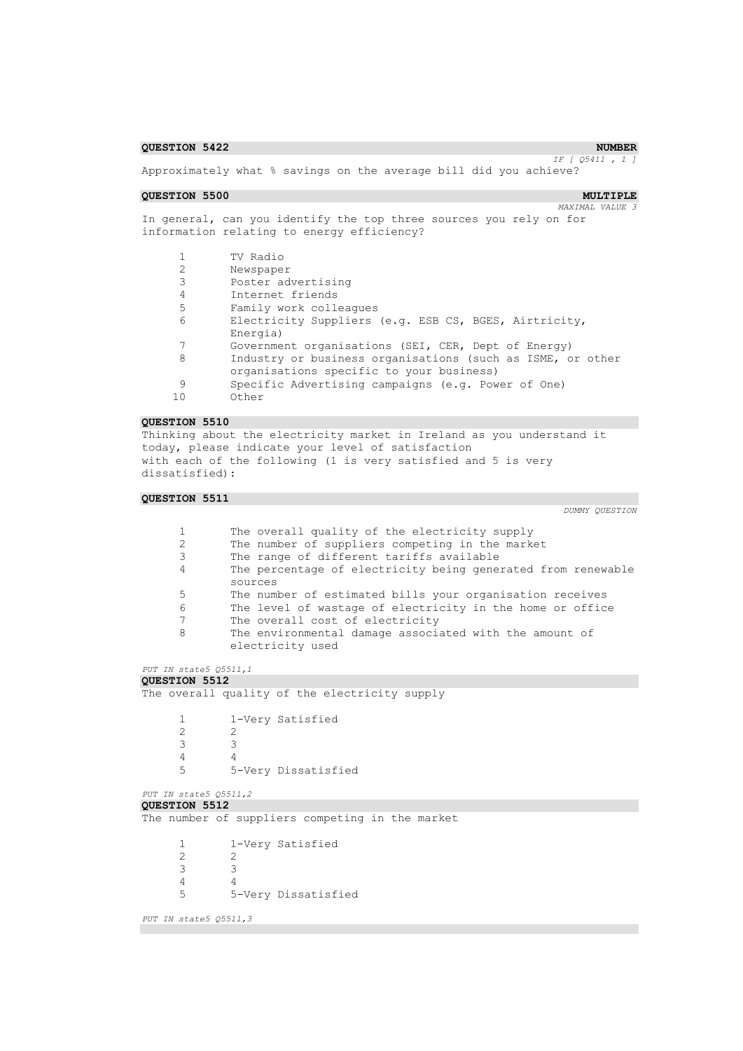### **QUESTION 5422 NUMBER**

*IF [ Q5411 , 1 ]* 

Approximately what % savings on the average bill did you achieve?

### **QUESTION 5500 MULTIPLE**

*MAXIMAL VALUE 3* 

In general, can you identify the top three sources you rely on for information relating to energy efficiency?

|    | TV Radio                                                   |
|----|------------------------------------------------------------|
|    | Newspaper                                                  |
|    | Poster advertising                                         |
|    | Internet friends                                           |
| .5 | Family work colleagues                                     |
| 6  | Electricity Suppliers (e.g. ESB CS, BGES, Airtricity,      |
|    | Energia)                                                   |
|    | Government organisations (SEI, CER, Dept of Energy)        |
| 8  | Industry or business organisations (such as ISME, or other |
|    | organisations specific to your business)                   |
|    | Specific Advertising campaigns (e.g. Power of One)         |
| 10 | Other                                                      |

### **QUESTION 5510**

Thinking about the electricity market in Ireland as you understand it today, please indicate your level of satisfaction with each of the following (1 is very satisfied and 5 is very dissatisfied):

### **QUESTION 5511**

| $\mathbf{1}$<br>$\overline{c}$<br>3<br>4<br>5<br>6<br>7<br>8 | The overall quality of the electricity supply<br>The number of suppliers competing in the market<br>The range of different tariffs available<br>The percentage of electricity being generated from renewable<br>sources<br>The number of estimated bills your organisation receives<br>The level of wastage of electricity in the home or office<br>The overall cost of electricity<br>The environmental damage associated with the amount of |
|--------------------------------------------------------------|-----------------------------------------------------------------------------------------------------------------------------------------------------------------------------------------------------------------------------------------------------------------------------------------------------------------------------------------------------------------------------------------------------------------------------------------------|
|                                                              | electricity used                                                                                                                                                                                                                                                                                                                                                                                                                              |
| PUT IN state5 Q5511,1                                        |                                                                                                                                                                                                                                                                                                                                                                                                                                               |
| <b>QUESTION 5512</b>                                         |                                                                                                                                                                                                                                                                                                                                                                                                                                               |
|                                                              | The overall quality of the electricity supply                                                                                                                                                                                                                                                                                                                                                                                                 |
| $\mathbf{1}$<br>$\overline{c}$<br>3                          | 1-Very Satisfied<br>2<br>3                                                                                                                                                                                                                                                                                                                                                                                                                    |
| $\overline{4}$<br>5                                          | $\overline{4}$<br>5-Very Dissatisfied                                                                                                                                                                                                                                                                                                                                                                                                         |
| PUT IN state5 Q5511,2                                        |                                                                                                                                                                                                                                                                                                                                                                                                                                               |
| QUESTION 5512                                                |                                                                                                                                                                                                                                                                                                                                                                                                                                               |
|                                                              | The number of suppliers competing in the market                                                                                                                                                                                                                                                                                                                                                                                               |
| 1<br>$\overline{c}$<br>3<br>4                                | 1-Very Satisfied<br>2<br>3<br>$\overline{4}$                                                                                                                                                                                                                                                                                                                                                                                                  |
| 5                                                            | 5-Very Dissatisfied                                                                                                                                                                                                                                                                                                                                                                                                                           |
| PUT IN state5 Q5511,3                                        |                                                                                                                                                                                                                                                                                                                                                                                                                                               |
|                                                              |                                                                                                                                                                                                                                                                                                                                                                                                                                               |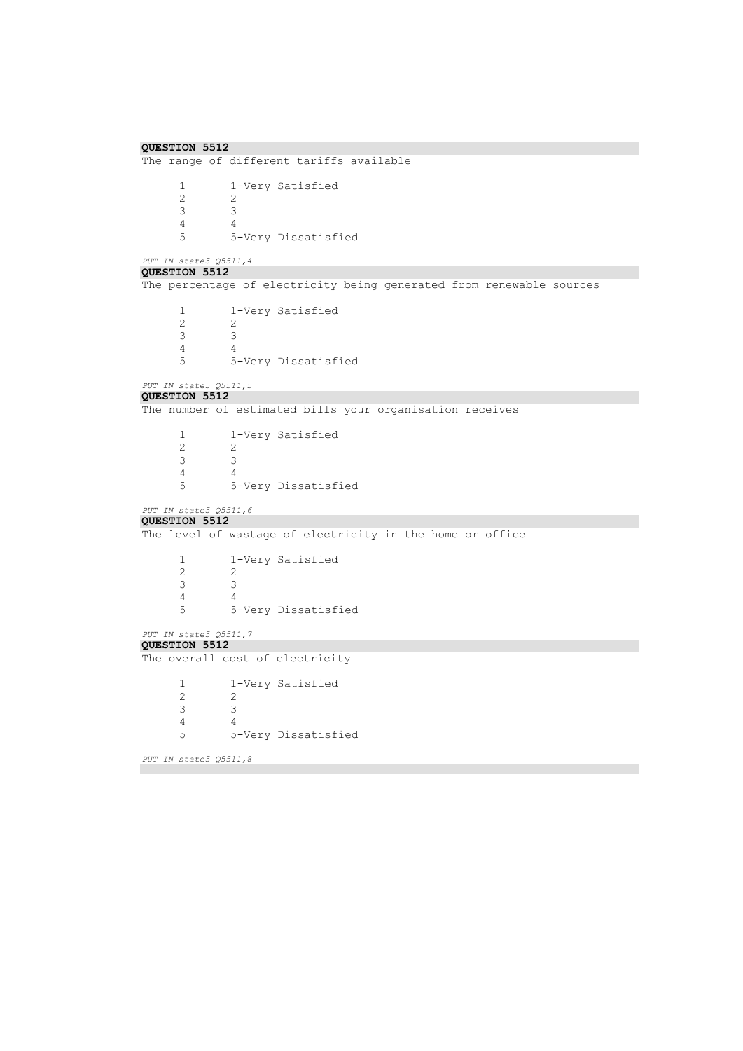```
QUESTION 5512 
The range of different tariffs available
        1 1-Very Satisfied<br>2 2
        \begin{array}{ccc} 2 & & 2 \\ 3 & & 3 \end{array}\begin{array}{ccc} 3 & \hspace{1.5cm} & 3 \\ 4 & \hspace{1.5cm} & 4 \end{array}\frac{4}{5}5 5-Very Dissatisfied
PUT IN state5 Q5511,4 
QUESTION 5512 
The percentage of electricity being generated from renewable sources
        1 1-Very Satisfied<br>2 2
                    2 2
        3 3
        \begin{array}{ccc} 4 & & 4 \\ 5 & & 5 \end{array}5 5-Very Dissatisfied
PUT IN state5 Q5511,5 
QUESTION 5512 
The number of estimated bills your organisation receives
        1 1-Very Satisfied<br>2 2
        \frac{2}{3}\begin{array}{ccc} 3 & & 3 \\ 4 & & 4 \end{array}\begin{array}{cc} 4 & 4 \\ 5 & 5 \end{array}5 5-Very Dissatisfied
PUT IN state5 Q5511,6 
QUESTION 5512 
The level of wastage of electricity in the home or office
        1 1-Very Satisfied<br>2 2
                    2 2
        3 3
        \begin{array}{cc} 4 & 4 \\ 5 & 5 \end{array}5 5-Very Dissatisfied
PUT IN state5 Q5511,7 
QUESTION 5512 
The overall cost of electricity
        1 1-Very Satisfied
        \begin{array}{ccc} 2 & & 2 \\ 3 & & 3 \end{array}3 3
        4 4
        5 5-Very Dissatisfied
PUT IN state5 Q5511,8
```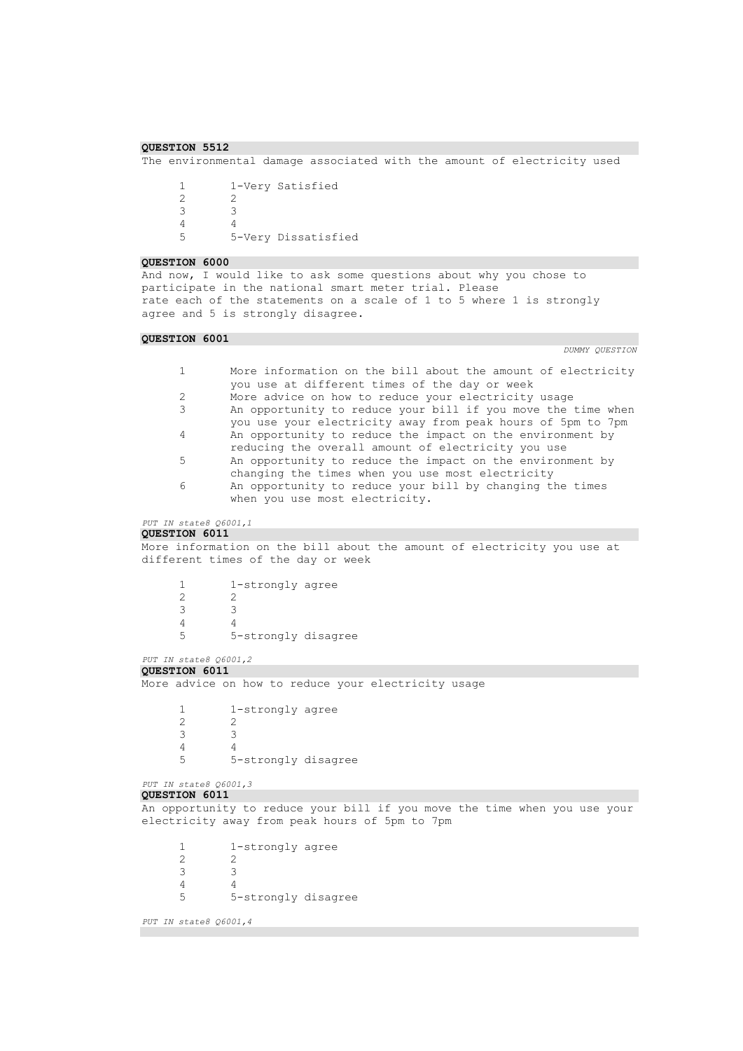```
QUESTION 5512
```
The environmental damage associated with the amount of electricity used

```
1 1-Very Satisfied<br>2 2
2 2
3 3
4 4<br>5 5
       5 5-Very Dissatisfied
```
#### **QUESTION 6000**

And now, I would like to ask some questions about why you chose to participate in the national smart meter trial. Please rate each of the statements on a scale of 1 to 5 where 1 is strongly agree and 5 is strongly disagree.

## **QUESTION 6001**

```
1 More information on the bill about the amount of electricity 
             you use at different times of the day or week
     2 More advice on how to reduce your electricity usage
     3 An opportunity to reduce your bill if you move the time when 
             you use your electricity away from peak hours of 5pm to 7pm
     4 An opportunity to reduce the impact on the environment by 
             reducing the overall amount of electricity you use
     5 An opportunity to reduce the impact on the environment by 
             changing the times when you use most electricity
     6 An opportunity to reduce your bill by changing the times 
             when you use most electricity.
PUT IN state8 Q6001,1 
QUESTION 6011 
More information on the bill about the amount of electricity you use at 
different times of the day or week
     1 1-strongly agree
     2 2
     3 3
     4 4
     5 5-strongly disagree
PUT IN state8 Q6001,2 
QUESTION 6011 
More advice on how to reduce your electricity usage
     1 1-strongly agree<br>2 2
             2 2
     \begin{array}{ccc} 3 & & 3 \\ 4 & & 4 \end{array}4 4
     5 5-strongly disagree
PUT IN state8 Q6001,3 
QUESTION 6011 
An opportunity to reduce your bill if you move the time when you use your 
electricity away from peak hours of 5pm to 7pm
     1 1-strongly agree
     2 2
     3 3
     4 4
     5 5-strongly disagree
PUT IN state8 Q6001,4
```